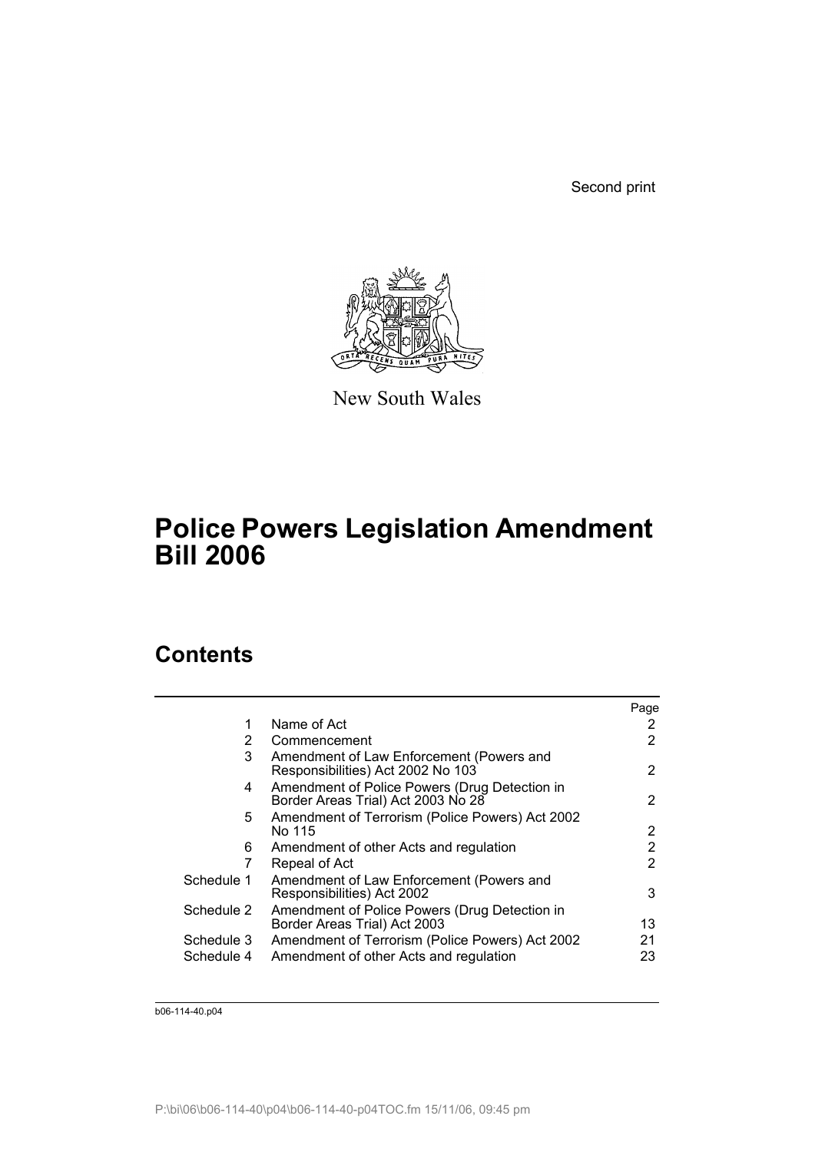Second print



New South Wales

# **Police Powers Legislation Amendment Bill 2006**

# **Contents**

|                       |                                                                                     | Page |
|-----------------------|-------------------------------------------------------------------------------------|------|
| 1                     | Name of Act                                                                         | 2    |
| $\mathbf{2}^{\prime}$ | Commencement                                                                        | 2    |
| 3                     | Amendment of Law Enforcement (Powers and<br>Responsibilities) Act 2002 No 103       | 2    |
| 4                     | Amendment of Police Powers (Drug Detection in<br>Border Areas Trial) Act 2003 No 28 | 2    |
| 5.                    | Amendment of Terrorism (Police Powers) Act 2002<br>No 115                           | 2    |
| 6                     | Amendment of other Acts and regulation                                              | 2    |
|                       | Repeal of Act                                                                       | 2    |
| Schedule 1            | Amendment of Law Enforcement (Powers and<br>Responsibilities) Act 2002              | 3    |
| Schedule 2            | Amendment of Police Powers (Drug Detection in<br>Border Areas Trial) Act 2003       | 13   |
| Schedule 3            | Amendment of Terrorism (Police Powers) Act 2002                                     | 21   |
| Schedule 4            | Amendment of other Acts and regulation                                              | 23   |
|                       |                                                                                     |      |

b06-114-40.p04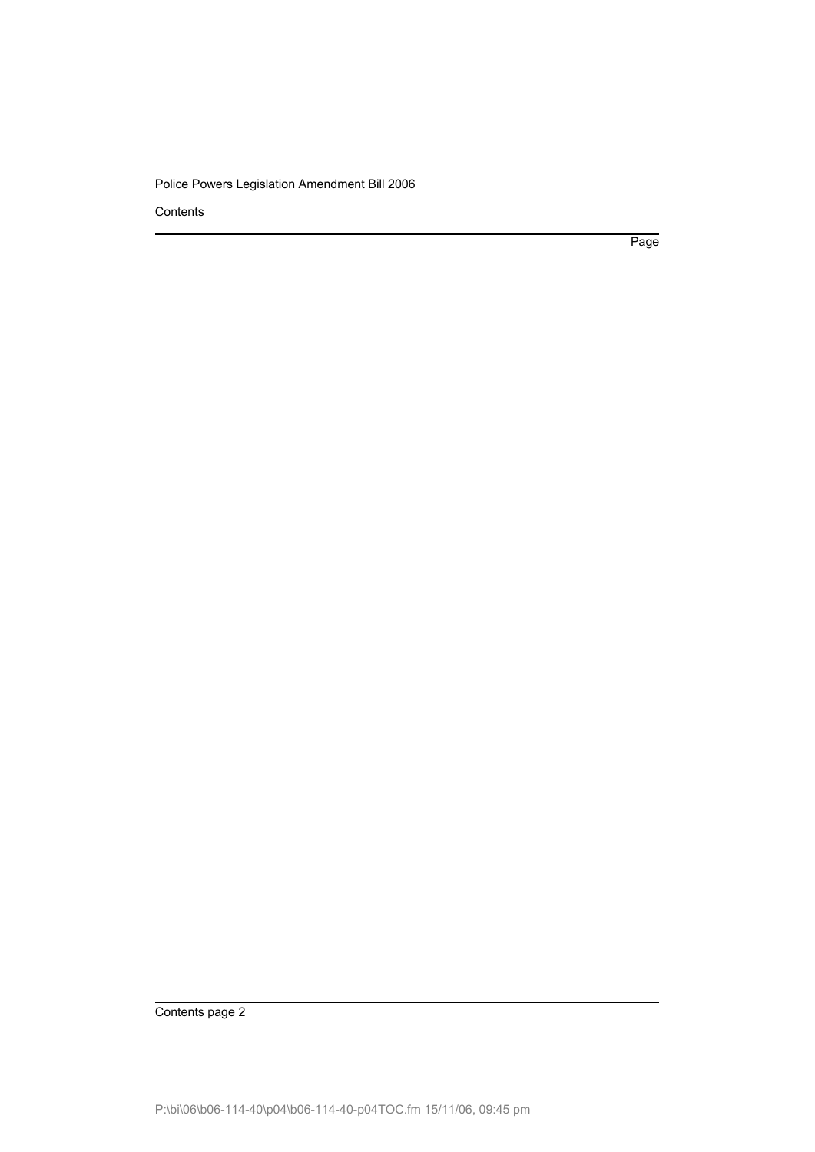Contents

Page

Contents page 2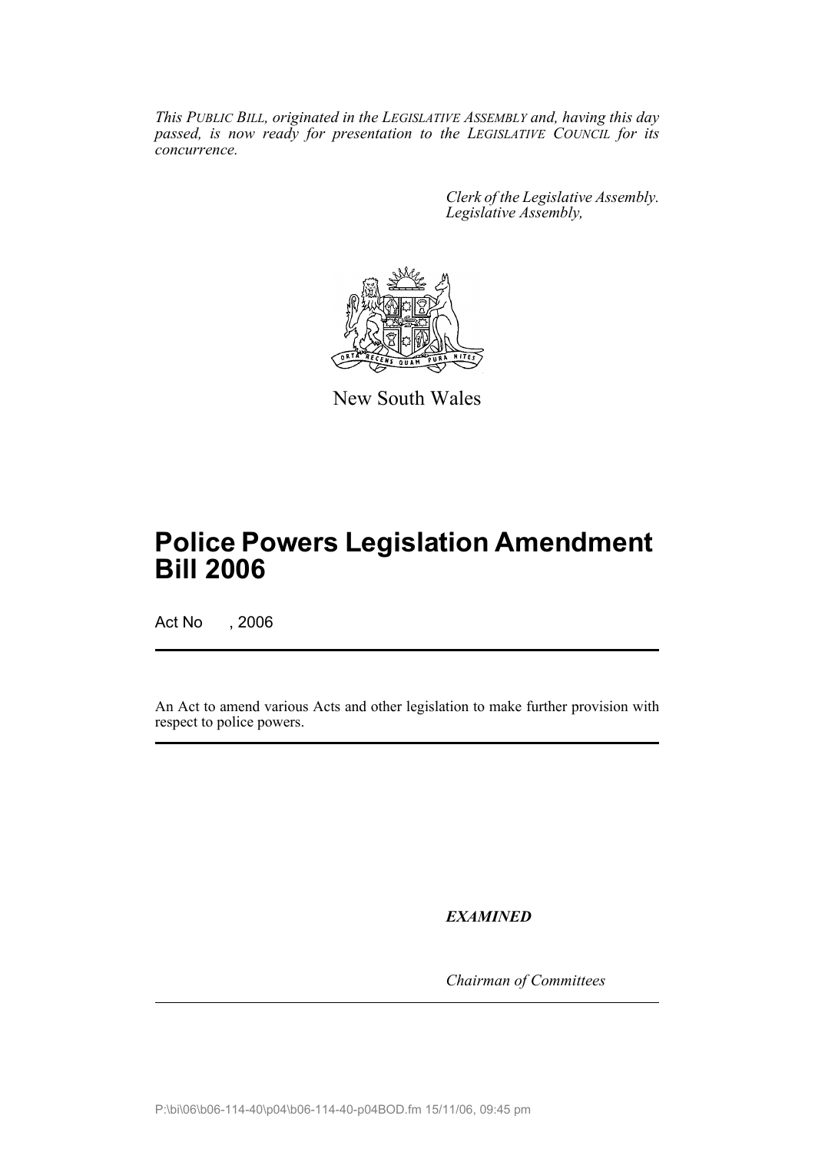*This PUBLIC BILL, originated in the LEGISLATIVE ASSEMBLY and, having this day passed, is now ready for presentation to the LEGISLATIVE COUNCIL for its concurrence.*

> *Clerk of the Legislative Assembly. Legislative Assembly,*



New South Wales

# **Police Powers Legislation Amendment Bill 2006**

Act No , 2006

An Act to amend various Acts and other legislation to make further provision with respect to police powers.

*EXAMINED*

*Chairman of Committees*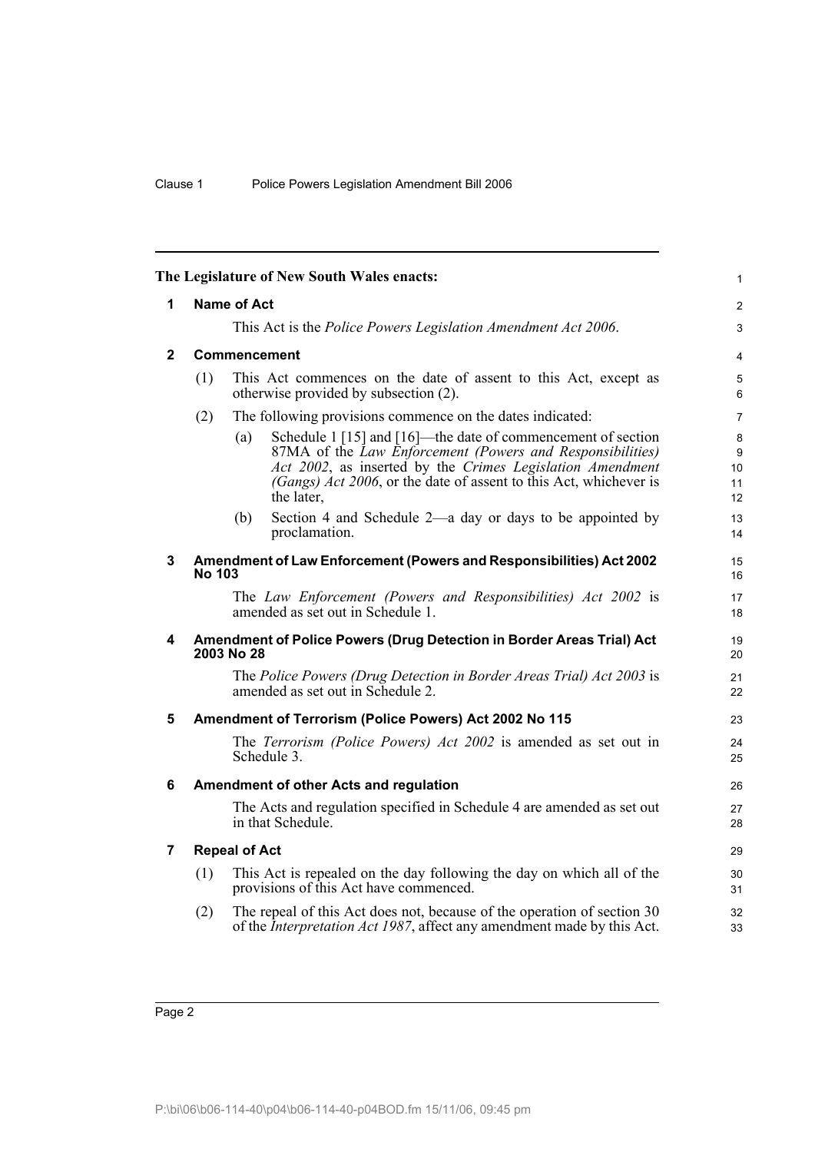<span id="page-3-6"></span><span id="page-3-5"></span><span id="page-3-4"></span><span id="page-3-3"></span><span id="page-3-2"></span><span id="page-3-1"></span><span id="page-3-0"></span>

| <b>Name of Act</b><br>1<br>This Act is the <i>Police Powers Legislation Amendment Act 2006</i> .<br>$\mathbf{2}$<br><b>Commencement</b><br>(1)<br>This Act commences on the date of assent to this Act, except as<br>otherwise provided by subsection (2).<br>(2)<br>The following provisions commence on the dates indicated:<br>Schedule 1 [15] and [16]—the date of commencement of section<br>(a)<br>87MA of the Law Enforcement (Powers and Responsibilities)<br>Act 2002, as inserted by the Crimes Legislation Amendment<br>(Gangs) Act 2006, or the date of assent to this Act, whichever is<br>the later.<br>Section 4 and Schedule 2—a day or days to be appointed by<br>(b)<br>proclamation.<br>3<br>Amendment of Law Enforcement (Powers and Responsibilities) Act 2002<br><b>No 103</b><br>The Law Enforcement (Powers and Responsibilities) Act 2002 is<br>amended as set out in Schedule 1.<br>4<br>Amendment of Police Powers (Drug Detection in Border Areas Trial) Act<br>2003 No 28<br>The Police Powers (Drug Detection in Border Areas Trial) Act 2003 is<br>amended as set out in Schedule 2.<br>Amendment of Terrorism (Police Powers) Act 2002 No 115<br>5<br>The Terrorism (Police Powers) Act 2002 is amended as set out in<br>Schedule 3.<br>6<br>Amendment of other Acts and regulation<br>The Acts and regulation specified in Schedule 4 are amended as set out<br>in that Schedule.<br><b>Repeal of Act</b><br>7<br>(1)<br>This Act is repealed on the day following the day on which all of the<br>provisions of this Act have commenced. | The Legislature of New South Wales enacts:                                     |  |
|---------------------------------------------------------------------------------------------------------------------------------------------------------------------------------------------------------------------------------------------------------------------------------------------------------------------------------------------------------------------------------------------------------------------------------------------------------------------------------------------------------------------------------------------------------------------------------------------------------------------------------------------------------------------------------------------------------------------------------------------------------------------------------------------------------------------------------------------------------------------------------------------------------------------------------------------------------------------------------------------------------------------------------------------------------------------------------------------------------------------------------------------------------------------------------------------------------------------------------------------------------------------------------------------------------------------------------------------------------------------------------------------------------------------------------------------------------------------------------------------------------------------------------------------------------------------------|--------------------------------------------------------------------------------|--|
|                                                                                                                                                                                                                                                                                                                                                                                                                                                                                                                                                                                                                                                                                                                                                                                                                                                                                                                                                                                                                                                                                                                                                                                                                                                                                                                                                                                                                                                                                                                                                                           |                                                                                |  |
|                                                                                                                                                                                                                                                                                                                                                                                                                                                                                                                                                                                                                                                                                                                                                                                                                                                                                                                                                                                                                                                                                                                                                                                                                                                                                                                                                                                                                                                                                                                                                                           |                                                                                |  |
|                                                                                                                                                                                                                                                                                                                                                                                                                                                                                                                                                                                                                                                                                                                                                                                                                                                                                                                                                                                                                                                                                                                                                                                                                                                                                                                                                                                                                                                                                                                                                                           |                                                                                |  |
|                                                                                                                                                                                                                                                                                                                                                                                                                                                                                                                                                                                                                                                                                                                                                                                                                                                                                                                                                                                                                                                                                                                                                                                                                                                                                                                                                                                                                                                                                                                                                                           |                                                                                |  |
|                                                                                                                                                                                                                                                                                                                                                                                                                                                                                                                                                                                                                                                                                                                                                                                                                                                                                                                                                                                                                                                                                                                                                                                                                                                                                                                                                                                                                                                                                                                                                                           |                                                                                |  |
|                                                                                                                                                                                                                                                                                                                                                                                                                                                                                                                                                                                                                                                                                                                                                                                                                                                                                                                                                                                                                                                                                                                                                                                                                                                                                                                                                                                                                                                                                                                                                                           |                                                                                |  |
|                                                                                                                                                                                                                                                                                                                                                                                                                                                                                                                                                                                                                                                                                                                                                                                                                                                                                                                                                                                                                                                                                                                                                                                                                                                                                                                                                                                                                                                                                                                                                                           |                                                                                |  |
|                                                                                                                                                                                                                                                                                                                                                                                                                                                                                                                                                                                                                                                                                                                                                                                                                                                                                                                                                                                                                                                                                                                                                                                                                                                                                                                                                                                                                                                                                                                                                                           |                                                                                |  |
|                                                                                                                                                                                                                                                                                                                                                                                                                                                                                                                                                                                                                                                                                                                                                                                                                                                                                                                                                                                                                                                                                                                                                                                                                                                                                                                                                                                                                                                                                                                                                                           |                                                                                |  |
|                                                                                                                                                                                                                                                                                                                                                                                                                                                                                                                                                                                                                                                                                                                                                                                                                                                                                                                                                                                                                                                                                                                                                                                                                                                                                                                                                                                                                                                                                                                                                                           |                                                                                |  |
|                                                                                                                                                                                                                                                                                                                                                                                                                                                                                                                                                                                                                                                                                                                                                                                                                                                                                                                                                                                                                                                                                                                                                                                                                                                                                                                                                                                                                                                                                                                                                                           |                                                                                |  |
|                                                                                                                                                                                                                                                                                                                                                                                                                                                                                                                                                                                                                                                                                                                                                                                                                                                                                                                                                                                                                                                                                                                                                                                                                                                                                                                                                                                                                                                                                                                                                                           |                                                                                |  |
|                                                                                                                                                                                                                                                                                                                                                                                                                                                                                                                                                                                                                                                                                                                                                                                                                                                                                                                                                                                                                                                                                                                                                                                                                                                                                                                                                                                                                                                                                                                                                                           |                                                                                |  |
|                                                                                                                                                                                                                                                                                                                                                                                                                                                                                                                                                                                                                                                                                                                                                                                                                                                                                                                                                                                                                                                                                                                                                                                                                                                                                                                                                                                                                                                                                                                                                                           |                                                                                |  |
|                                                                                                                                                                                                                                                                                                                                                                                                                                                                                                                                                                                                                                                                                                                                                                                                                                                                                                                                                                                                                                                                                                                                                                                                                                                                                                                                                                                                                                                                                                                                                                           |                                                                                |  |
|                                                                                                                                                                                                                                                                                                                                                                                                                                                                                                                                                                                                                                                                                                                                                                                                                                                                                                                                                                                                                                                                                                                                                                                                                                                                                                                                                                                                                                                                                                                                                                           |                                                                                |  |
|                                                                                                                                                                                                                                                                                                                                                                                                                                                                                                                                                                                                                                                                                                                                                                                                                                                                                                                                                                                                                                                                                                                                                                                                                                                                                                                                                                                                                                                                                                                                                                           |                                                                                |  |
| of the <i>Interpretation Act 1987</i> , affect any amendment made by this Act.                                                                                                                                                                                                                                                                                                                                                                                                                                                                                                                                                                                                                                                                                                                                                                                                                                                                                                                                                                                                                                                                                                                                                                                                                                                                                                                                                                                                                                                                                            | (2)<br>The repeal of this Act does not, because of the operation of section 30 |  |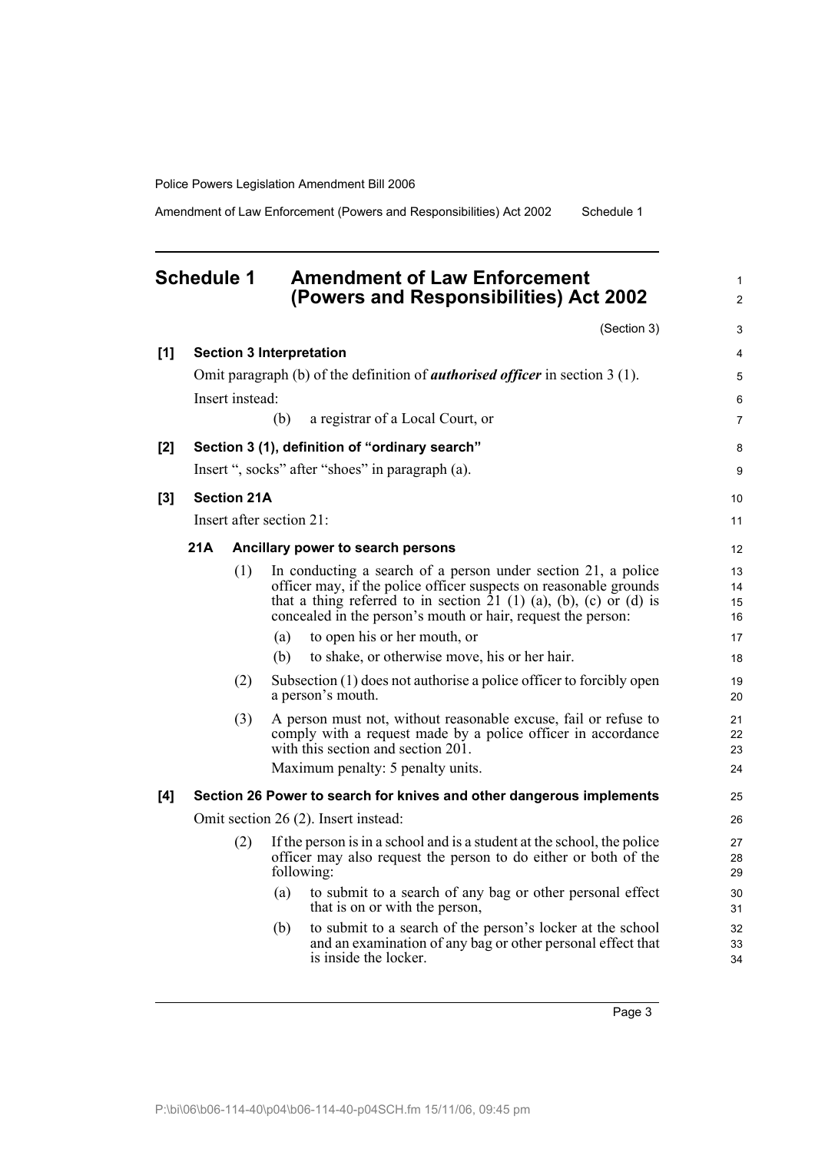Amendment of Law Enforcement (Powers and Responsibilities) Act 2002 Schedule 1

## <span id="page-4-0"></span>**Schedule 1 Amendment of Law Enforcement (Powers and Responsibilities) Act 2002**

|     |     |                          |     | (Section 3)                                                                                                                        | 3              |
|-----|-----|--------------------------|-----|------------------------------------------------------------------------------------------------------------------------------------|----------------|
| [1] |     |                          |     | <b>Section 3 Interpretation</b>                                                                                                    | 4              |
|     |     |                          |     | Omit paragraph (b) of the definition of <i>authorised officer</i> in section 3 (1).                                                | 5              |
|     |     | Insert instead:          |     |                                                                                                                                    | 6              |
|     |     |                          | (b) | a registrar of a Local Court, or                                                                                                   | $\overline{7}$ |
| [2] |     |                          |     | Section 3 (1), definition of "ordinary search"                                                                                     | 8              |
|     |     |                          |     | Insert ", socks" after "shoes" in paragraph (a).                                                                                   | 9              |
| [3] |     | <b>Section 21A</b>       |     |                                                                                                                                    | 10             |
|     |     | Insert after section 21: |     |                                                                                                                                    | 11             |
|     | 21A |                          |     | Ancillary power to search persons                                                                                                  | 12             |
|     |     |                          |     |                                                                                                                                    |                |
|     |     | (1)                      |     | In conducting a search of a person under section 21, a police<br>officer may, if the police officer suspects on reasonable grounds | 13             |
|     |     |                          |     | that a thing referred to in section $21$ (1) (a), (b), (c) or (d) is                                                               | 14<br>15       |
|     |     |                          |     | concealed in the person's mouth or hair, request the person:                                                                       | 16             |
|     |     |                          | (a) | to open his or her mouth, or                                                                                                       | 17             |
|     |     |                          | (b) | to shake, or otherwise move, his or her hair.                                                                                      | 18             |
|     |     | (2)                      |     | Subsection (1) does not authorise a police officer to forcibly open<br>a person's mouth.                                           | 19<br>20       |
|     |     | (3)                      |     | A person must not, without reasonable excuse, fail or refuse to                                                                    | 21             |
|     |     |                          |     | comply with a request made by a police officer in accordance                                                                       | 22             |
|     |     |                          |     | with this section and section 201.                                                                                                 | 23             |
|     |     |                          |     | Maximum penalty: 5 penalty units.                                                                                                  | 24             |
| [4] |     |                          |     | Section 26 Power to search for knives and other dangerous implements                                                               | 25             |
|     |     |                          |     | Omit section 26 (2). Insert instead:                                                                                               | 26             |
|     |     | (2)                      |     | If the person is in a school and is a student at the school, the police                                                            | 27             |
|     |     |                          |     | officer may also request the person to do either or both of the<br>following:                                                      | 28<br>29       |
|     |     |                          | (a) | to submit to a search of any bag or other personal effect                                                                          |                |
|     |     |                          |     | that is on or with the person,                                                                                                     | 30<br>31       |
|     |     |                          | (b) | to submit to a search of the person's locker at the school                                                                         | 32             |
|     |     |                          |     | and an examination of any bag or other personal effect that<br>is inside the locker.                                               | 33<br>34       |

Page 3

1 2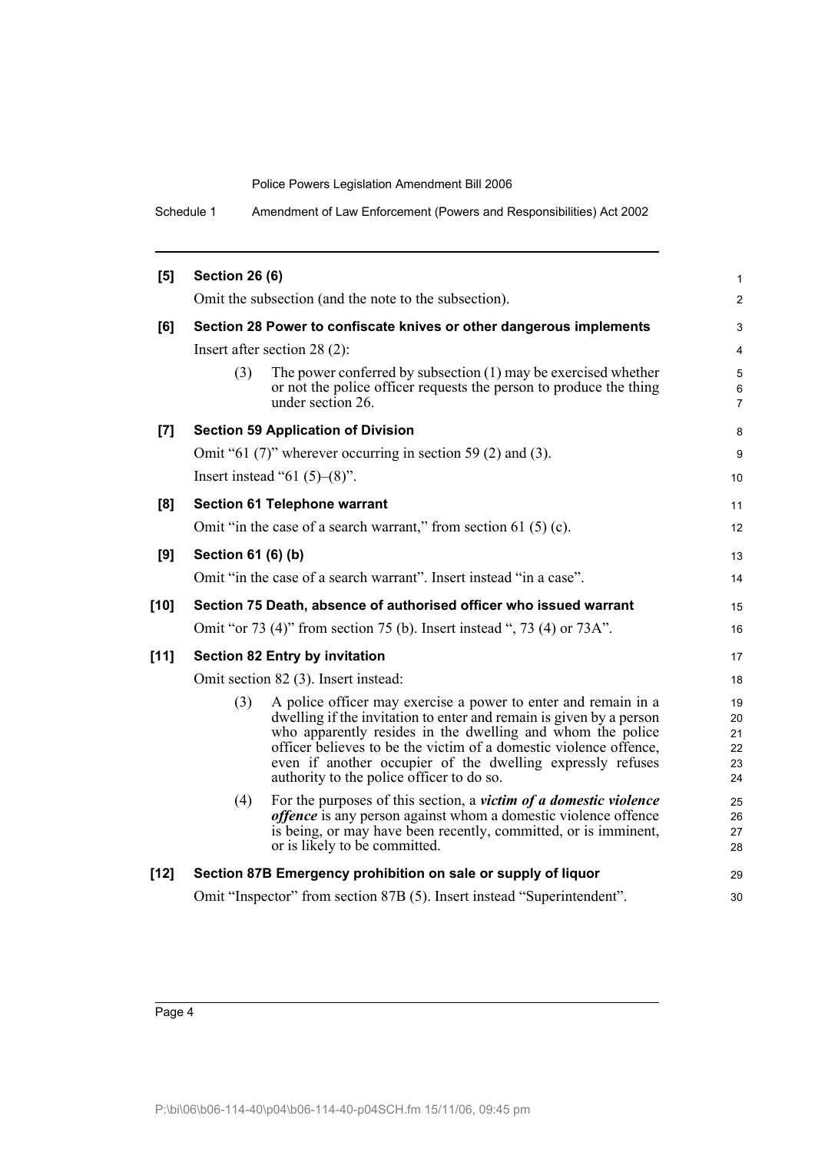Schedule 1 Amendment of Law Enforcement (Powers and Responsibilities) Act 2002

| [5]                | <b>Section 26 (6)</b>                                                                                                                                                                                                                                                                                                                                                                      | $\mathbf{1}$                     |
|--------------------|--------------------------------------------------------------------------------------------------------------------------------------------------------------------------------------------------------------------------------------------------------------------------------------------------------------------------------------------------------------------------------------------|----------------------------------|
|                    | Omit the subsection (and the note to the subsection).                                                                                                                                                                                                                                                                                                                                      | $\overline{2}$                   |
| [6]                | Section 28 Power to confiscate knives or other dangerous implements                                                                                                                                                                                                                                                                                                                        | 3                                |
|                    | Insert after section $28(2)$ :                                                                                                                                                                                                                                                                                                                                                             | 4                                |
|                    | The power conferred by subsection $(1)$ may be exercised whether<br>(3)<br>or not the police officer requests the person to produce the thing<br>under section 26.                                                                                                                                                                                                                         | $\mathbf 5$<br>6<br>7            |
| $\left[ 7 \right]$ | <b>Section 59 Application of Division</b>                                                                                                                                                                                                                                                                                                                                                  | 8                                |
|                    | Omit "61 (7)" wherever occurring in section 59 (2) and (3).                                                                                                                                                                                                                                                                                                                                | 9                                |
|                    | Insert instead "61 $(5)$ – $(8)$ ".                                                                                                                                                                                                                                                                                                                                                        | 10                               |
| [8]                | <b>Section 61 Telephone warrant</b>                                                                                                                                                                                                                                                                                                                                                        | 11                               |
|                    | Omit "in the case of a search warrant," from section 61 (5) (c).                                                                                                                                                                                                                                                                                                                           | 12                               |
| [9]                | Section 61 (6) (b)                                                                                                                                                                                                                                                                                                                                                                         | 13                               |
|                    | Omit "in the case of a search warrant". Insert instead "in a case".                                                                                                                                                                                                                                                                                                                        | 14                               |
| $[10]$             | Section 75 Death, absence of authorised officer who issued warrant                                                                                                                                                                                                                                                                                                                         | 15                               |
|                    | Omit "or 73 (4)" from section 75 (b). Insert instead ", 73 (4) or 73A".                                                                                                                                                                                                                                                                                                                    | 16                               |
| $[11]$             | <b>Section 82 Entry by invitation</b>                                                                                                                                                                                                                                                                                                                                                      | 17                               |
|                    | Omit section 82 (3). Insert instead:                                                                                                                                                                                                                                                                                                                                                       | 18                               |
|                    | (3)<br>A police officer may exercise a power to enter and remain in a<br>dwelling if the invitation to enter and remain is given by a person<br>who apparently resides in the dwelling and whom the police<br>officer believes to be the victim of a domestic violence offence,<br>even if another occupier of the dwelling expressly refuses<br>authority to the police officer to do so. | 19<br>20<br>21<br>22<br>23<br>24 |
|                    | For the purposes of this section, a victim of a domestic violence<br>(4)<br><i>offence</i> is any person against whom a domestic violence offence<br>is being, or may have been recently, committed, or is imminent,<br>or is likely to be committed.                                                                                                                                      | 25<br>26<br>27<br>28             |
| $[12]$             | Section 87B Emergency prohibition on sale or supply of liquor                                                                                                                                                                                                                                                                                                                              | 29                               |
|                    | Omit "Inspector" from section 87B (5). Insert instead "Superintendent".                                                                                                                                                                                                                                                                                                                    | 30                               |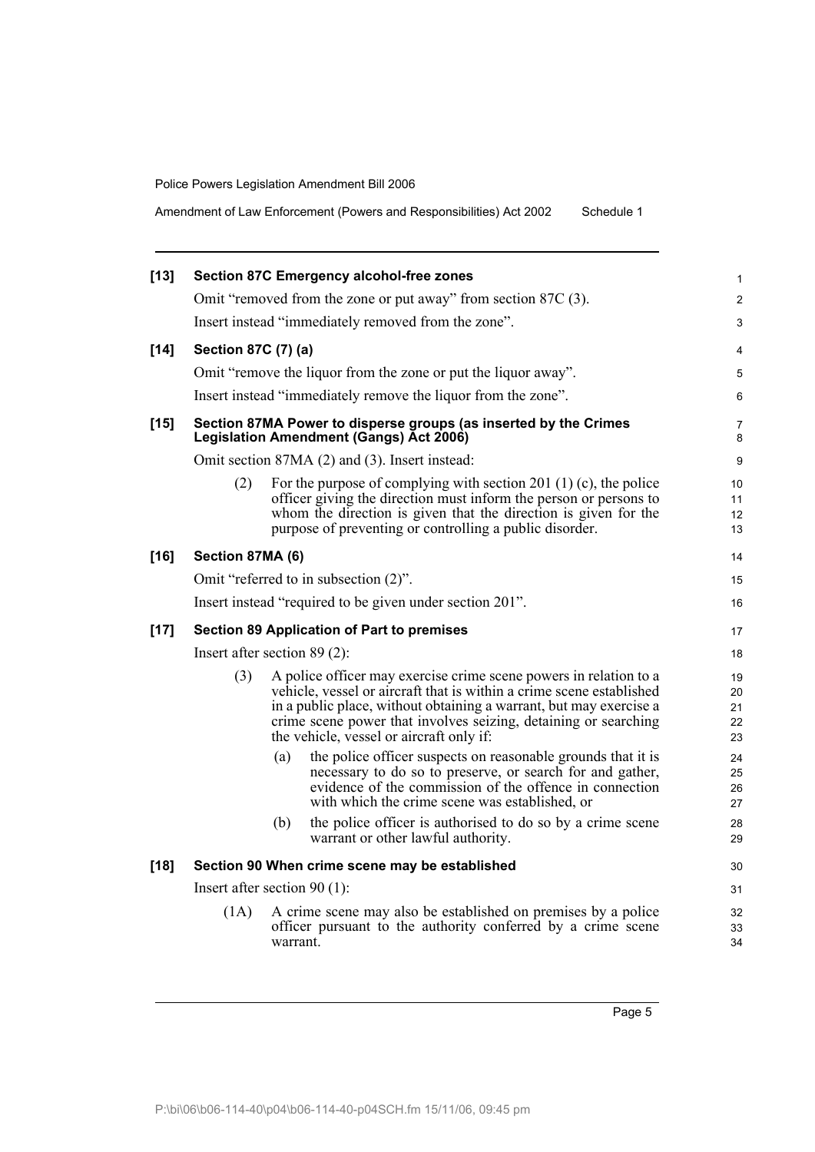Amendment of Law Enforcement (Powers and Responsibilities) Act 2002 Schedule 1

| $[13]$ |                                | <b>Section 87C Emergency alcohol-free zones</b>                                                                                                                                                                                                                                                                                | 1                          |  |  |
|--------|--------------------------------|--------------------------------------------------------------------------------------------------------------------------------------------------------------------------------------------------------------------------------------------------------------------------------------------------------------------------------|----------------------------|--|--|
|        |                                | Omit "removed from the zone or put away" from section 87C (3).                                                                                                                                                                                                                                                                 | $\overline{2}$             |  |  |
|        |                                | Insert instead "immediately removed from the zone".                                                                                                                                                                                                                                                                            | 3                          |  |  |
| $[14]$ | Section 87C (7) (a)            |                                                                                                                                                                                                                                                                                                                                | 4                          |  |  |
|        |                                | Omit "remove the liquor from the zone or put the liquor away".                                                                                                                                                                                                                                                                 | 5                          |  |  |
|        |                                | Insert instead "immediately remove the liquor from the zone".                                                                                                                                                                                                                                                                  | 6                          |  |  |
| $[15]$ |                                | Section 87MA Power to disperse groups (as inserted by the Crimes<br>Legislation Amendment (Gangs) Act 2006)                                                                                                                                                                                                                    | 7<br>8                     |  |  |
|        |                                | Omit section 87MA (2) and (3). Insert instead:                                                                                                                                                                                                                                                                                 | 9                          |  |  |
|        | (2)                            | For the purpose of complying with section 201 $(1)$ (c), the police<br>officer giving the direction must inform the person or persons to<br>whom the direction is given that the direction is given for the<br>purpose of preventing or controlling a public disorder.                                                         | 10<br>11<br>12<br>13       |  |  |
| $[16]$ | Section 87MA (6)               |                                                                                                                                                                                                                                                                                                                                | 14                         |  |  |
|        |                                | Omit "referred to in subsection (2)".                                                                                                                                                                                                                                                                                          | 15                         |  |  |
|        |                                | Insert instead "required to be given under section 201".                                                                                                                                                                                                                                                                       | 16                         |  |  |
| $[17]$ |                                | <b>Section 89 Application of Part to premises</b>                                                                                                                                                                                                                                                                              | 17                         |  |  |
|        |                                | Insert after section $89(2)$ :                                                                                                                                                                                                                                                                                                 | 18                         |  |  |
|        | (3)                            | A police officer may exercise crime scene powers in relation to a<br>vehicle, vessel or aircraft that is within a crime scene established<br>in a public place, without obtaining a warrant, but may exercise a<br>crime scene power that involves seizing, detaining or searching<br>the vehicle, vessel or aircraft only if: | 19<br>20<br>21<br>22<br>23 |  |  |
|        |                                | the police officer suspects on reasonable grounds that it is<br>(a)<br>necessary to do so to preserve, or search for and gather,<br>evidence of the commission of the offence in connection<br>with which the crime scene was established, or                                                                                  | 24<br>25<br>26<br>27       |  |  |
|        |                                | the police officer is authorised to do so by a crime scene<br>(b)<br>warrant or other lawful authority.                                                                                                                                                                                                                        | 28<br>29                   |  |  |
| $[18]$ |                                | Section 90 When crime scene may be established                                                                                                                                                                                                                                                                                 | 30                         |  |  |
|        | Insert after section $90(1)$ : |                                                                                                                                                                                                                                                                                                                                |                            |  |  |
|        | (1A)                           | A crime scene may also be established on premises by a police<br>officer pursuant to the authority conferred by a crime scene<br>warrant.                                                                                                                                                                                      | 32<br>33<br>34             |  |  |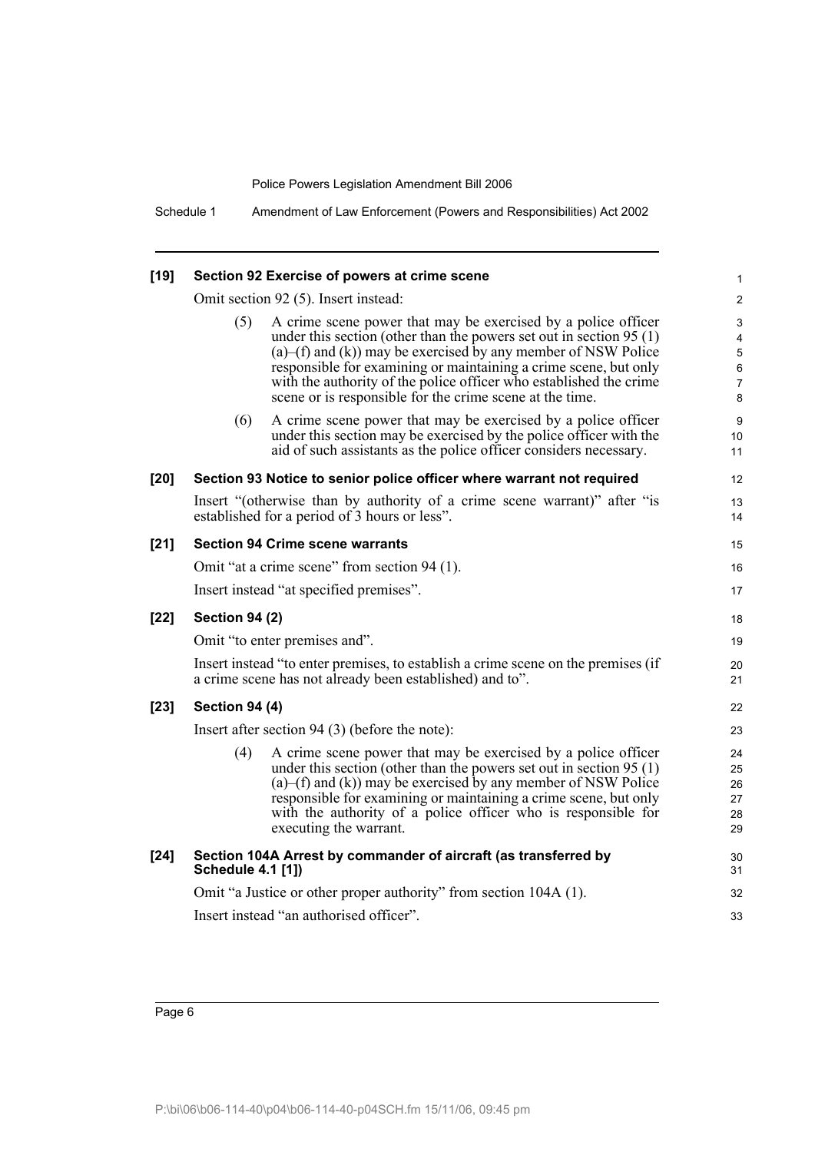Schedule 1 Amendment of Law Enforcement (Powers and Responsibilities) Act 2002

| $[19]$ |                          | Section 92 Exercise of powers at crime scene                                                                                                                                                                                                                                                                                                                                                                         | 1                                |
|--------|--------------------------|----------------------------------------------------------------------------------------------------------------------------------------------------------------------------------------------------------------------------------------------------------------------------------------------------------------------------------------------------------------------------------------------------------------------|----------------------------------|
|        |                          | Omit section 92 (5). Insert instead:                                                                                                                                                                                                                                                                                                                                                                                 | $\overline{\mathbf{c}}$          |
|        | (5)                      | A crime scene power that may be exercised by a police officer<br>under this section (other than the powers set out in section $95(1)$ )<br>$(a)$ –(f) and $(k)$ ) may be exercised by any member of NSW Police<br>responsible for examining or maintaining a crime scene, but only<br>with the authority of the police officer who established the crime<br>scene or is responsible for the crime scene at the time. | 3<br>4<br>5<br>6<br>7<br>8       |
|        | (6)                      | A crime scene power that may be exercised by a police officer<br>under this section may be exercised by the police officer with the<br>aid of such assistants as the police officer considers necessary.                                                                                                                                                                                                             | 9<br>10<br>11                    |
| $[20]$ |                          | Section 93 Notice to senior police officer where warrant not required                                                                                                                                                                                                                                                                                                                                                | 12                               |
|        |                          | Insert "(otherwise than by authority of a crime scene warrant)" after "is<br>established for a period of 3 hours or less".                                                                                                                                                                                                                                                                                           | 13<br>14                         |
| $[21]$ |                          | <b>Section 94 Crime scene warrants</b>                                                                                                                                                                                                                                                                                                                                                                               | 15                               |
|        |                          | Omit "at a crime scene" from section 94 (1).                                                                                                                                                                                                                                                                                                                                                                         | 16                               |
|        |                          | Insert instead "at specified premises".                                                                                                                                                                                                                                                                                                                                                                              | 17                               |
| $[22]$ | <b>Section 94 (2)</b>    |                                                                                                                                                                                                                                                                                                                                                                                                                      | 18                               |
|        |                          | Omit "to enter premises and".                                                                                                                                                                                                                                                                                                                                                                                        | 19                               |
|        |                          | Insert instead "to enter premises, to establish a crime scene on the premises (if<br>a crime scene has not already been established) and to".                                                                                                                                                                                                                                                                        | 20<br>21                         |
| $[23]$ | <b>Section 94 (4)</b>    |                                                                                                                                                                                                                                                                                                                                                                                                                      | 22                               |
|        |                          | Insert after section 94 $(3)$ (before the note):                                                                                                                                                                                                                                                                                                                                                                     | 23                               |
|        | (4)                      | A crime scene power that may be exercised by a police officer<br>under this section (other than the powers set out in section $95(1)$ )<br>$(a)$ –(f) and (k)) may be exercised by any member of NSW Police<br>responsible for examining or maintaining a crime scene, but only<br>with the authority of a police officer who is responsible for<br>executing the warrant.                                           | 24<br>25<br>26<br>27<br>28<br>29 |
| $[24]$ | <b>Schedule 4.1 [1])</b> | Section 104A Arrest by commander of aircraft (as transferred by                                                                                                                                                                                                                                                                                                                                                      | 30<br>31                         |
|        |                          | Omit "a Justice or other proper authority" from section 104A (1).                                                                                                                                                                                                                                                                                                                                                    | 32                               |
|        |                          | Insert instead "an authorised officer".                                                                                                                                                                                                                                                                                                                                                                              | 33                               |
|        |                          |                                                                                                                                                                                                                                                                                                                                                                                                                      |                                  |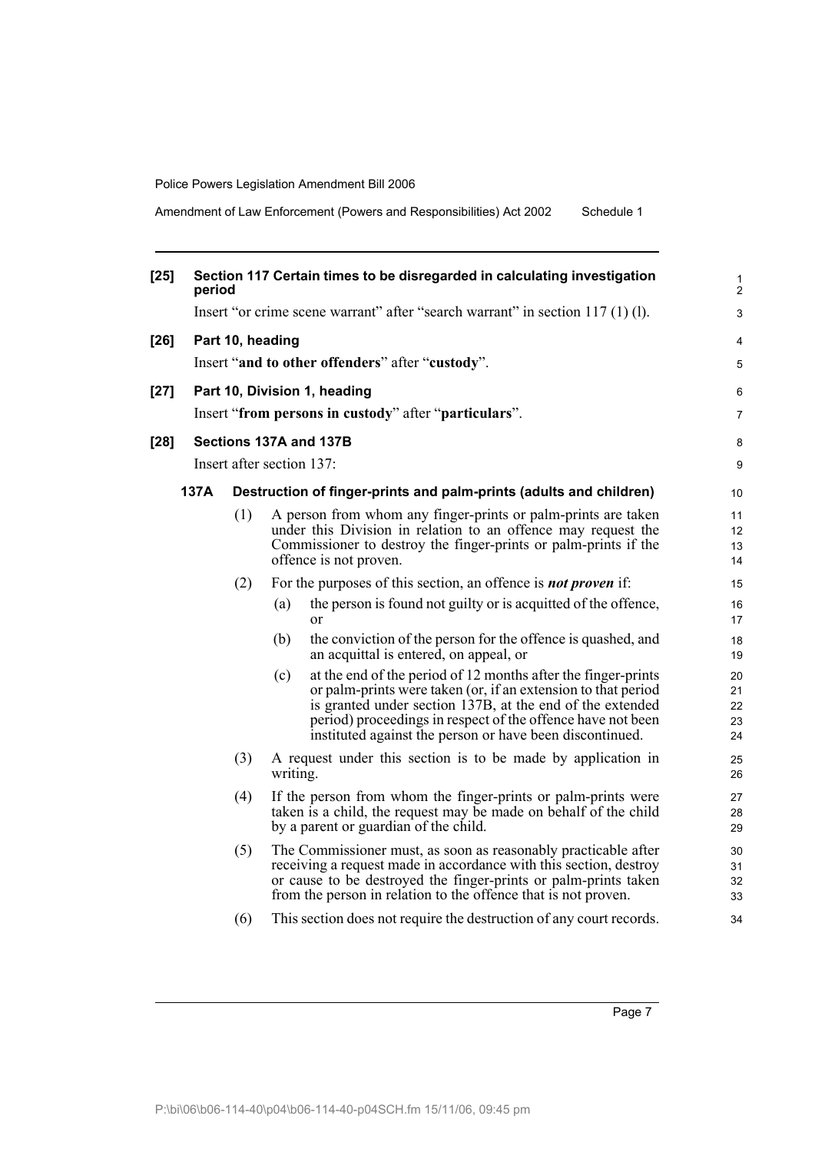Amendment of Law Enforcement (Powers and Responsibilities) Act 2002 Schedule 1

| $[25]$ | Section 117 Certain times to be disregarded in calculating investigation<br>period |                  |                           |                                                                                                                                                                                                                                                                                                                        |                            |  |
|--------|------------------------------------------------------------------------------------|------------------|---------------------------|------------------------------------------------------------------------------------------------------------------------------------------------------------------------------------------------------------------------------------------------------------------------------------------------------------------------|----------------------------|--|
|        |                                                                                    |                  |                           | Insert "or crime scene warrant" after "search warrant" in section 117 (1) (1).                                                                                                                                                                                                                                         | 3                          |  |
| $[26]$ |                                                                                    | Part 10, heading |                           |                                                                                                                                                                                                                                                                                                                        | 4                          |  |
|        |                                                                                    |                  |                           | Insert "and to other offenders" after "custody".                                                                                                                                                                                                                                                                       | 5                          |  |
| $[27]$ |                                                                                    |                  |                           | Part 10, Division 1, heading                                                                                                                                                                                                                                                                                           | 6                          |  |
|        |                                                                                    |                  |                           | Insert "from persons in custody" after "particulars".                                                                                                                                                                                                                                                                  | 7                          |  |
| $[28]$ |                                                                                    |                  | Sections 137A and 137B    |                                                                                                                                                                                                                                                                                                                        | 8                          |  |
|        |                                                                                    |                  | Insert after section 137: |                                                                                                                                                                                                                                                                                                                        | 9                          |  |
|        | 137A                                                                               |                  |                           | Destruction of finger-prints and palm-prints (adults and children)                                                                                                                                                                                                                                                     | 10                         |  |
|        |                                                                                    | (1)              |                           | A person from whom any finger-prints or palm-prints are taken<br>under this Division in relation to an offence may request the<br>Commissioner to destroy the finger-prints or palm-prints if the<br>offence is not proven.                                                                                            | 11<br>12<br>13<br>14       |  |
|        |                                                                                    | (2)              |                           | For the purposes of this section, an offence is <b><i>not proven</i></b> if:                                                                                                                                                                                                                                           | 15                         |  |
|        |                                                                                    |                  | (a)                       | the person is found not guilty or is acquitted of the offence,<br>$\alpha$                                                                                                                                                                                                                                             | 16<br>17                   |  |
|        |                                                                                    |                  | (b)                       | the conviction of the person for the offence is quashed, and<br>an acquittal is entered, on appeal, or                                                                                                                                                                                                                 | 18<br>19                   |  |
|        |                                                                                    |                  | (c)                       | at the end of the period of 12 months after the finger-prints<br>or palm-prints were taken (or, if an extension to that period<br>is granted under section 137B, at the end of the extended<br>period) proceedings in respect of the offence have not been<br>instituted against the person or have been discontinued. | 20<br>21<br>22<br>23<br>24 |  |
|        |                                                                                    | (3)              | writing.                  | A request under this section is to be made by application in                                                                                                                                                                                                                                                           | 25<br>26                   |  |
|        |                                                                                    | (4)              |                           | If the person from whom the finger-prints or palm-prints were<br>taken is a child, the request may be made on behalf of the child<br>by a parent or guardian of the child.                                                                                                                                             | 27<br>28<br>29             |  |
|        |                                                                                    | (5)              |                           | The Commissioner must, as soon as reasonably practicable after<br>receiving a request made in accordance with this section, destroy<br>or cause to be destroyed the finger-prints or palm-prints taken<br>from the person in relation to the offence that is not proven.                                               | 30<br>31<br>32<br>33       |  |
|        |                                                                                    | (6)              |                           | This section does not require the destruction of any court records.                                                                                                                                                                                                                                                    | 34                         |  |
|        |                                                                                    |                  |                           |                                                                                                                                                                                                                                                                                                                        |                            |  |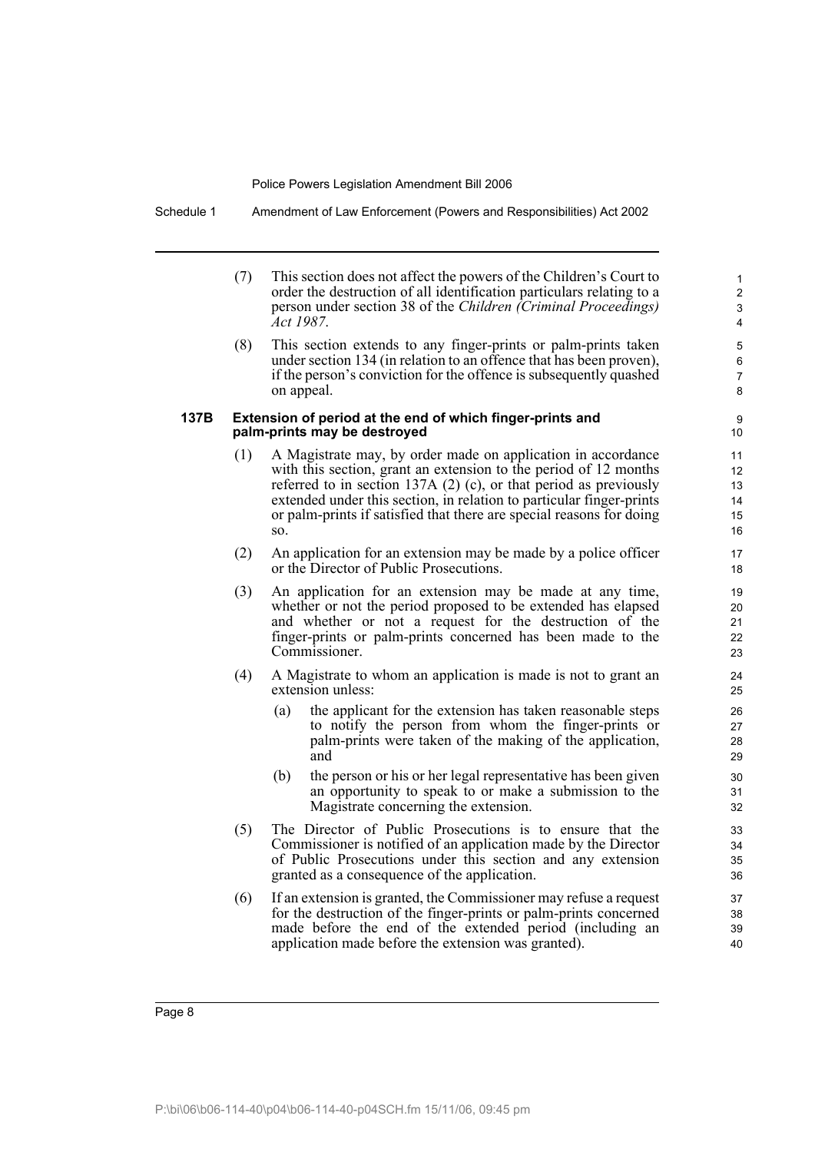Schedule 1 Amendment of Law Enforcement (Powers and Responsibilities) Act 2002

(7) This section does not affect the powers of the Children's Court to order the destruction of all identification particulars relating to a person under section 38 of the *Children (Criminal Proceedings) Act 1987*.

(8) This section extends to any finger-prints or palm-prints taken under section 134 (in relation to an offence that has been proven), if the person's conviction for the offence is subsequently quashed on appeal.

#### **137B Extension of period at the end of which finger-prints and palm-prints may be destroyed**

- (1) A Magistrate may, by order made on application in accordance with this section, grant an extension to the period of 12 months referred to in section 137A (2) (c), or that period as previously extended under this section, in relation to particular finger-prints or palm-prints if satisfied that there are special reasons for doing so.
- (2) An application for an extension may be made by a police officer or the Director of Public Prosecutions.
- (3) An application for an extension may be made at any time, whether or not the period proposed to be extended has elapsed and whether or not a request for the destruction of the finger-prints or palm-prints concerned has been made to the Commissioner.
- (4) A Magistrate to whom an application is made is not to grant an extension unless:
	- (a) the applicant for the extension has taken reasonable steps to notify the person from whom the finger-prints or palm-prints were taken of the making of the application, and
	- (b) the person or his or her legal representative has been given an opportunity to speak to or make a submission to the Magistrate concerning the extension.
- (5) The Director of Public Prosecutions is to ensure that the Commissioner is notified of an application made by the Director of Public Prosecutions under this section and any extension granted as a consequence of the application.
- (6) If an extension is granted, the Commissioner may refuse a request for the destruction of the finger-prints or palm-prints concerned made before the end of the extended period (including an application made before the extension was granted).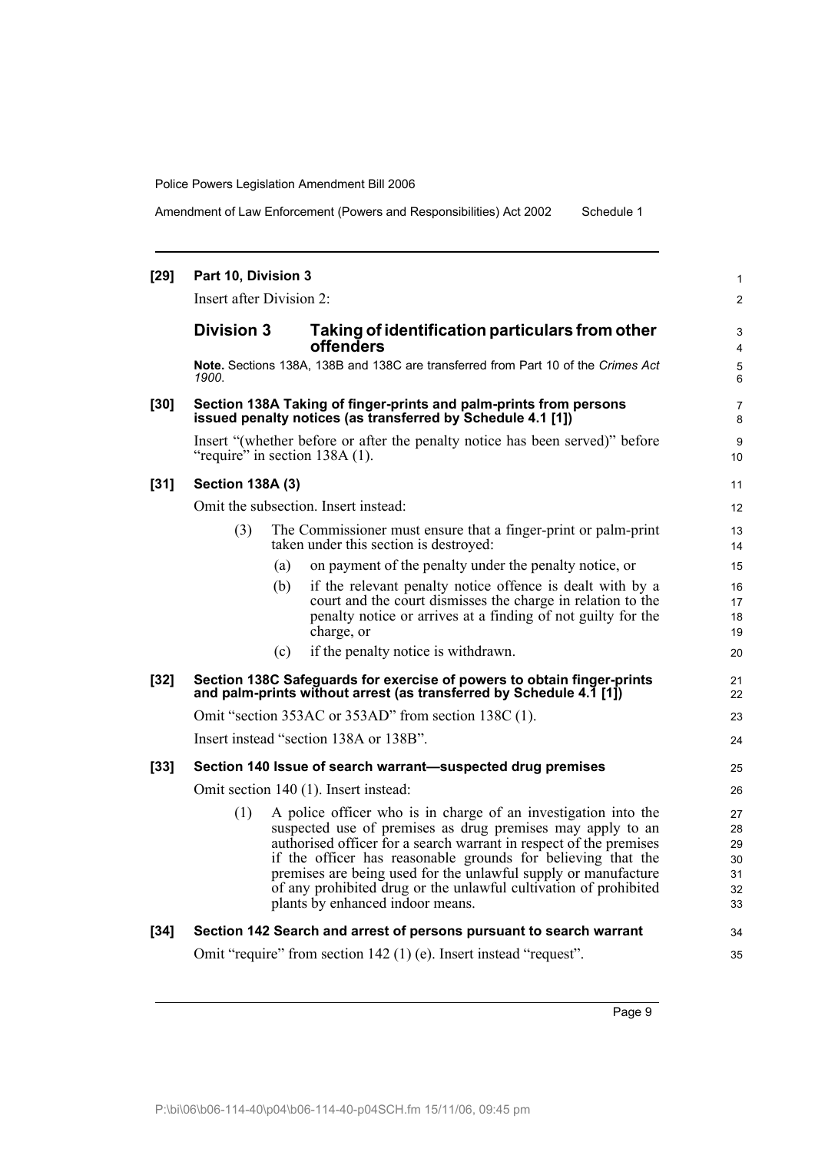Amendment of Law Enforcement (Powers and Responsibilities) Act 2002 Schedule 1

| $[29]$ | Part 10, Division 3      |     |                                                                                                                                                                                                                                                                                                                                                                                                                                              | $\mathbf{1}$                           |
|--------|--------------------------|-----|----------------------------------------------------------------------------------------------------------------------------------------------------------------------------------------------------------------------------------------------------------------------------------------------------------------------------------------------------------------------------------------------------------------------------------------------|----------------------------------------|
|        | Insert after Division 2: |     |                                                                                                                                                                                                                                                                                                                                                                                                                                              | $\overline{2}$                         |
|        | <b>Division 3</b>        |     | Taking of identification particulars from other<br>offenders                                                                                                                                                                                                                                                                                                                                                                                 | 3<br>$\overline{4}$                    |
|        | 1900.                    |     | Note. Sections 138A, 138B and 138C are transferred from Part 10 of the Crimes Act                                                                                                                                                                                                                                                                                                                                                            | 5<br>6                                 |
| $[30]$ |                          |     | Section 138A Taking of finger-prints and palm-prints from persons<br>issued penalty notices (as transferred by Schedule 4.1 [1])                                                                                                                                                                                                                                                                                                             | 7<br>8                                 |
|        |                          |     | Insert "(whether before or after the penalty notice has been served)" before<br>"require" in section $138A(1)$ .                                                                                                                                                                                                                                                                                                                             | 9<br>10                                |
| $[31]$ | <b>Section 138A (3)</b>  |     |                                                                                                                                                                                                                                                                                                                                                                                                                                              | 11                                     |
|        |                          |     | Omit the subsection. Insert instead:                                                                                                                                                                                                                                                                                                                                                                                                         | 12                                     |
|        | (3)                      |     | The Commissioner must ensure that a finger-print or palm-print<br>taken under this section is destroyed:                                                                                                                                                                                                                                                                                                                                     | 13<br>14                               |
|        |                          | (a) | on payment of the penalty under the penalty notice, or                                                                                                                                                                                                                                                                                                                                                                                       | 15                                     |
|        |                          | (b) | if the relevant penalty notice offence is dealt with by a<br>court and the court dismisses the charge in relation to the<br>penalty notice or arrives at a finding of not guilty for the<br>charge, or                                                                                                                                                                                                                                       | 16<br>17<br>18<br>19                   |
|        |                          | (c) | if the penalty notice is withdrawn.                                                                                                                                                                                                                                                                                                                                                                                                          | 20                                     |
| $[32]$ |                          |     | Section 138C Safeguards for exercise of powers to obtain finger-prints<br>and palm-prints without arrest (as transferred by Schedule 4.1 [1])                                                                                                                                                                                                                                                                                                | 21<br>22                               |
|        |                          |     | Omit "section 353AC or 353AD" from section 138C (1).                                                                                                                                                                                                                                                                                                                                                                                         | 23                                     |
|        |                          |     | Insert instead "section 138A or 138B".                                                                                                                                                                                                                                                                                                                                                                                                       | 24                                     |
| $[33]$ |                          |     | Section 140 Issue of search warrant-suspected drug premises                                                                                                                                                                                                                                                                                                                                                                                  | 25                                     |
|        |                          |     | Omit section 140 (1). Insert instead:                                                                                                                                                                                                                                                                                                                                                                                                        | 26                                     |
|        | (1)                      |     | A police officer who is in charge of an investigation into the<br>suspected use of premises as drug premises may apply to an<br>authorised officer for a search warrant in respect of the premises<br>if the officer has reasonable grounds for believing that the<br>premises are being used for the unlawful supply or manufacture<br>of any prohibited drug or the unlawful cultivation of prohibited<br>plants by enhanced indoor means. | 27<br>28<br>29<br>30<br>31<br>32<br>33 |
| $[34]$ |                          |     | Section 142 Search and arrest of persons pursuant to search warrant                                                                                                                                                                                                                                                                                                                                                                          | 34                                     |
|        |                          |     | Omit "require" from section 142 (1) (e). Insert instead "request".                                                                                                                                                                                                                                                                                                                                                                           | 35                                     |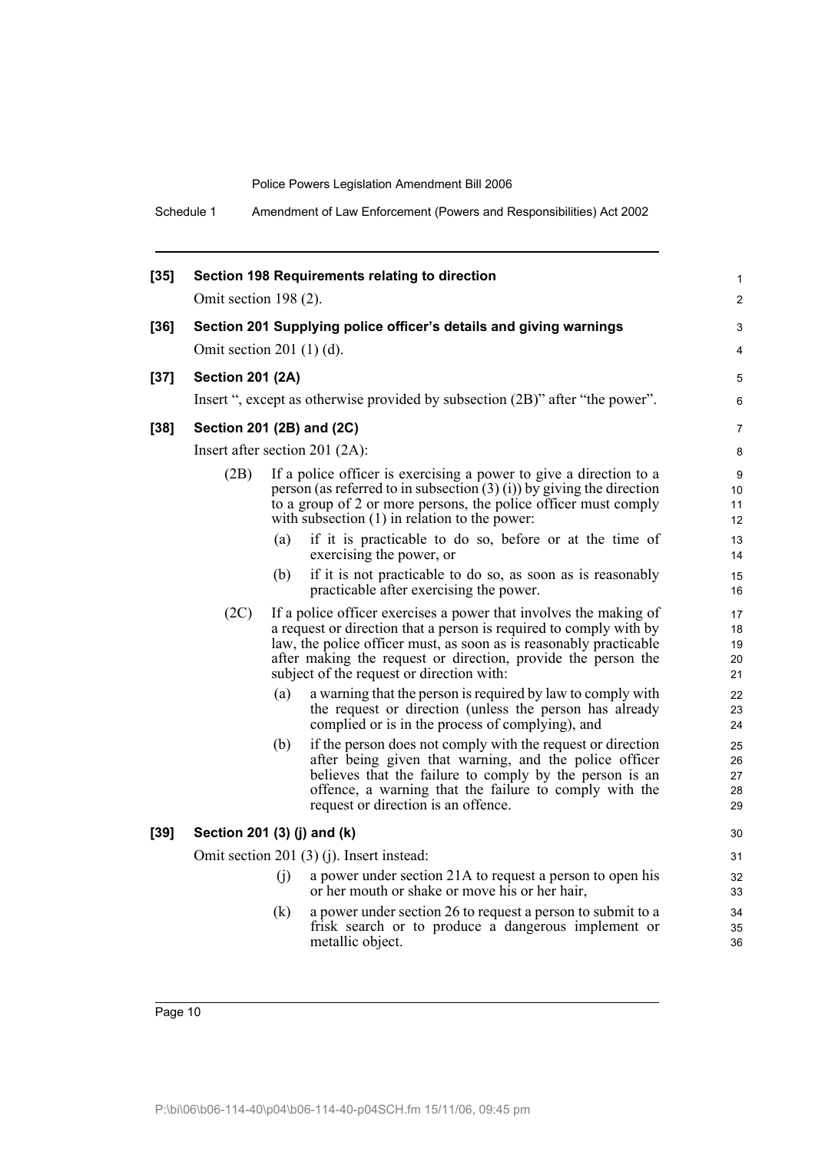Schedule 1 Amendment of Law Enforcement (Powers and Responsibilities) Act 2002

| $[35]$ |                             |     | Section 198 Requirements relating to direction                                                                                                                                                                                                                                                                              | 1                          |
|--------|-----------------------------|-----|-----------------------------------------------------------------------------------------------------------------------------------------------------------------------------------------------------------------------------------------------------------------------------------------------------------------------------|----------------------------|
|        | Omit section 198 (2).       |     |                                                                                                                                                                                                                                                                                                                             | 2                          |
| $[36]$ | Omit section 201 $(1)(d)$ . |     | Section 201 Supplying police officer's details and giving warnings                                                                                                                                                                                                                                                          | 3<br>4                     |
| $[37]$ | <b>Section 201 (2A)</b>     |     |                                                                                                                                                                                                                                                                                                                             | 5                          |
|        |                             |     | Insert ", except as otherwise provided by subsection (2B)" after "the power".                                                                                                                                                                                                                                               | 6                          |
| $[38]$ | Section 201 (2B) and (2C)   |     |                                                                                                                                                                                                                                                                                                                             | 7                          |
|        |                             |     | Insert after section 201 (2A):                                                                                                                                                                                                                                                                                              | 8                          |
|        | (2B)                        |     | If a police officer is exercising a power to give a direction to a<br>person (as referred to in subsection $(3)(i)$ ) by giving the direction<br>to a group of 2 or more persons, the police officer must comply<br>with subsection $(1)$ in relation to the power:                                                         | 9<br>10<br>11<br>12        |
|        |                             | (a) | if it is practicable to do so, before or at the time of<br>exercising the power, or                                                                                                                                                                                                                                         | 13<br>14                   |
|        |                             | (b) | if it is not practicable to do so, as soon as is reasonably<br>practicable after exercising the power.                                                                                                                                                                                                                      | 15<br>16                   |
|        | (2C)                        |     | If a police officer exercises a power that involves the making of<br>a request or direction that a person is required to comply with by<br>law, the police officer must, as soon as is reasonably practicable<br>after making the request or direction, provide the person the<br>subject of the request or direction with: | 17<br>18<br>19<br>20<br>21 |
|        |                             | (a) | a warning that the person is required by law to comply with<br>the request or direction (unless the person has already<br>complied or is in the process of complying), and                                                                                                                                                  | 22<br>23<br>24             |
|        |                             | (b) | if the person does not comply with the request or direction<br>after being given that warning, and the police officer<br>believes that the failure to comply by the person is an<br>offence, a warning that the failure to comply with the<br>request or direction is an offence.                                           | 25<br>26<br>27<br>28<br>29 |
| $[39]$ | Section 201 (3) (j) and (k) |     |                                                                                                                                                                                                                                                                                                                             | 30                         |
|        |                             |     | Omit section 201 (3) (j). Insert instead:                                                                                                                                                                                                                                                                                   | 31                         |
|        |                             | (j) | a power under section 21A to request a person to open his<br>or her mouth or shake or move his or her hair,                                                                                                                                                                                                                 | 32<br>33                   |
|        |                             | (k) | a power under section 26 to request a person to submit to a<br>frisk search or to produce a dangerous implement or<br>metallic object.                                                                                                                                                                                      | 34<br>35<br>36             |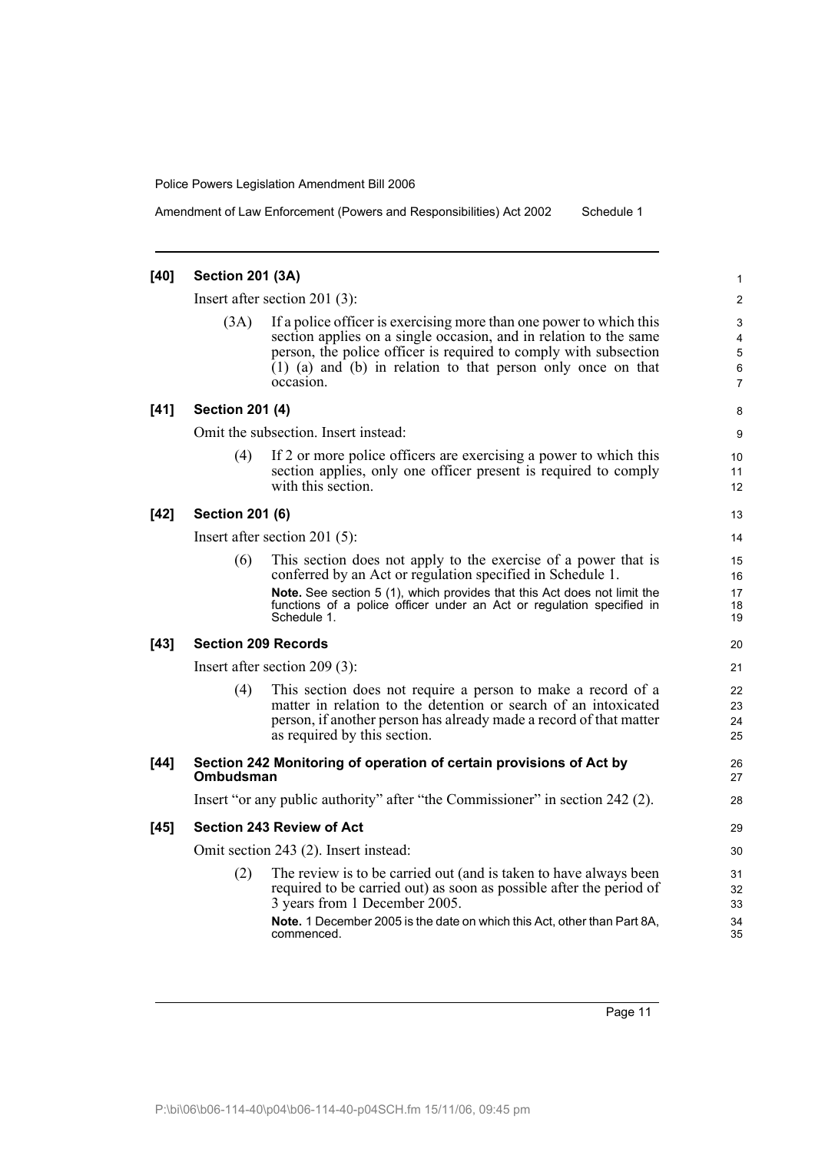Amendment of Law Enforcement (Powers and Responsibilities) Act 2002 Schedule 1

| [40]   | <b>Section 201 (3A)</b> |                                                                                                                                                                                                                                                                                                  | 1                          |
|--------|-------------------------|--------------------------------------------------------------------------------------------------------------------------------------------------------------------------------------------------------------------------------------------------------------------------------------------------|----------------------------|
|        |                         | Insert after section 201 $(3)$ :                                                                                                                                                                                                                                                                 | $\overline{c}$             |
|        | (3A)                    | If a police officer is exercising more than one power to which this<br>section applies on a single occasion, and in relation to the same<br>person, the police officer is required to comply with subsection<br>(1) (a) and (b) in relation to that person only once on that<br>occasion.        | 3<br>4<br>5<br>6<br>7      |
| $[41]$ | <b>Section 201 (4)</b>  |                                                                                                                                                                                                                                                                                                  | 8                          |
|        |                         | Omit the subsection. Insert instead:                                                                                                                                                                                                                                                             | 9                          |
|        | (4)                     | If 2 or more police officers are exercising a power to which this<br>section applies, only one officer present is required to comply<br>with this section.                                                                                                                                       | 10<br>11<br>12             |
| $[42]$ | <b>Section 201 (6)</b>  |                                                                                                                                                                                                                                                                                                  | 13                         |
|        |                         | Insert after section 201 $(5)$ :                                                                                                                                                                                                                                                                 | 14                         |
|        | (6)                     | This section does not apply to the exercise of a power that is<br>conferred by an Act or regulation specified in Schedule 1.<br>Note. See section 5 (1), which provides that this Act does not limit the<br>functions of a police officer under an Act or regulation specified in<br>Schedule 1. | 15<br>16<br>17<br>18<br>19 |
| $[43]$ |                         | <b>Section 209 Records</b>                                                                                                                                                                                                                                                                       | 20                         |
|        |                         | Insert after section $209(3)$ :                                                                                                                                                                                                                                                                  | 21                         |
|        | (4)                     | This section does not require a person to make a record of a<br>matter in relation to the detention or search of an intoxicated<br>person, if another person has already made a record of that matter<br>as required by this section.                                                            | 22<br>23<br>24<br>25       |
| $[44]$ | Ombudsman               | Section 242 Monitoring of operation of certain provisions of Act by                                                                                                                                                                                                                              | 26<br>27                   |
|        |                         | Insert "or any public authority" after "the Commissioner" in section 242 (2).                                                                                                                                                                                                                    | 28                         |
| $[45]$ |                         | <b>Section 243 Review of Act</b>                                                                                                                                                                                                                                                                 | 29                         |
|        |                         | Omit section 243 (2). Insert instead:                                                                                                                                                                                                                                                            | 30                         |
|        | (2)                     | The review is to be carried out (and is taken to have always been<br>required to be carried out) as soon as possible after the period of<br>3 years from 1 December 2005.                                                                                                                        | 31<br>32<br>33             |
|        |                         | Note. 1 December 2005 is the date on which this Act, other than Part 8A,<br>commenced.                                                                                                                                                                                                           | 34<br>35                   |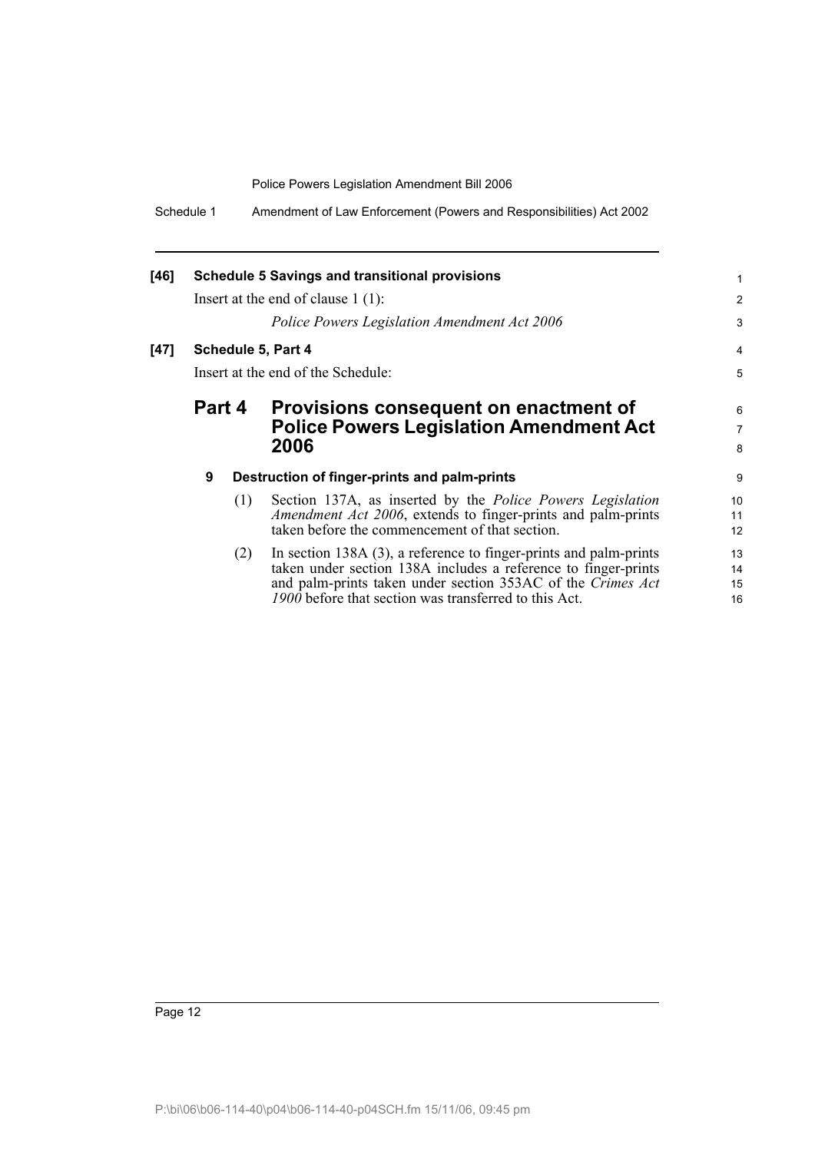Schedule 1 Amendment of Law Enforcement (Powers and Responsibilities) Act 2002

| $[46]$ |        |     | <b>Schedule 5 Savings and transitional provisions</b>                | 1              |
|--------|--------|-----|----------------------------------------------------------------------|----------------|
|        |        |     | Insert at the end of clause $1(1)$ :                                 | $\overline{2}$ |
|        |        |     | Police Powers Legislation Amendment Act 2006                         | 3              |
| $[47]$ |        |     | Schedule 5, Part 4                                                   | 4              |
|        |        |     | Insert at the end of the Schedule:                                   | 5              |
|        | Part 4 |     | Provisions consequent on enactment of                                | 6              |
|        |        |     | <b>Police Powers Legislation Amendment Act</b>                       | $\overline{7}$ |
|        |        |     | 2006                                                                 | 8              |
|        | 9      |     | Destruction of finger-prints and palm-prints                         | 9              |
|        |        | (1) | Section 137A, as inserted by the <i>Police Powers Legislation</i>    | 10             |
|        |        |     | <i>Amendment Act 2006</i> , extends to finger-prints and palm-prints | 11             |
|        |        |     | taken before the commencement of that section.                       | 12             |
|        |        | (2) | In section $138A(3)$ , a reference to finger-prints and palm-prints  | 13             |
|        |        |     | taken under section 138A includes a reference to finger-prints       | 14             |
|        |        |     | and palm-prints taken under section 353AC of the Crimes Act          | 15             |
|        |        |     | 1900 before that section was transferred to this Act.                | 16             |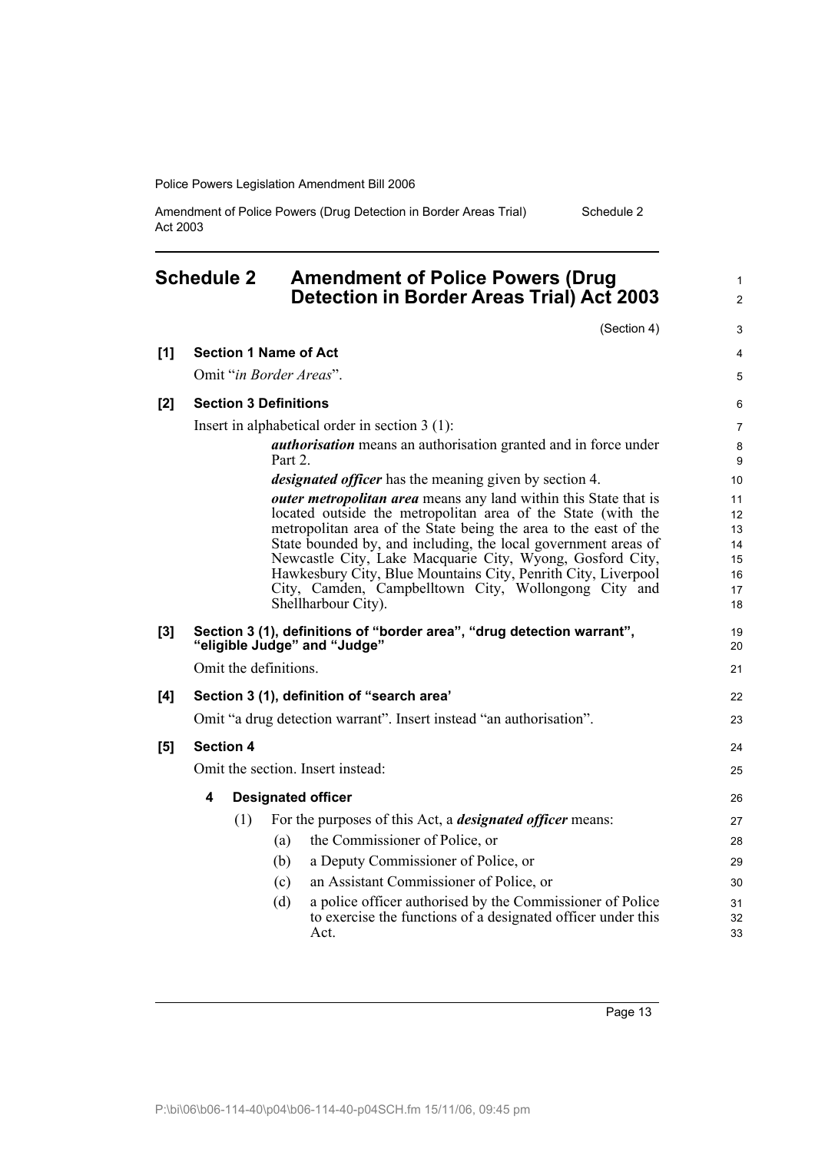Amendment of Police Powers (Drug Detection in Border Areas Trial) Act 2003 Schedule 2

## <span id="page-14-0"></span>**Schedule 2 Amendment of Police Powers (Drug Detection in Border Areas Trial) Act 2003**

|                     |                         | (Section 4)                                                                                                                                                                                                                                                                                                                                                                                                                                                                                       | 3                                            |
|---------------------|-------------------------|---------------------------------------------------------------------------------------------------------------------------------------------------------------------------------------------------------------------------------------------------------------------------------------------------------------------------------------------------------------------------------------------------------------------------------------------------------------------------------------------------|----------------------------------------------|
| [1]                 |                         | <b>Section 1 Name of Act</b>                                                                                                                                                                                                                                                                                                                                                                                                                                                                      | 4                                            |
|                     |                         | Omit "in Border Areas".                                                                                                                                                                                                                                                                                                                                                                                                                                                                           | 5                                            |
| [2]                 |                         | <b>Section 3 Definitions</b>                                                                                                                                                                                                                                                                                                                                                                                                                                                                      | 6                                            |
|                     |                         | Insert in alphabetical order in section $3(1)$ :                                                                                                                                                                                                                                                                                                                                                                                                                                                  | 7                                            |
|                     |                         | <i>authorisation</i> means an authorisation granted and in force under<br>Part 2.                                                                                                                                                                                                                                                                                                                                                                                                                 | 8<br>9                                       |
|                     |                         | <i>designated officer</i> has the meaning given by section 4.                                                                                                                                                                                                                                                                                                                                                                                                                                     | 10                                           |
|                     |                         | <b><i>outer metropolitan area</i></b> means any land within this State that is<br>located outside the metropolitan area of the State (with the<br>metropolitan area of the State being the area to the east of the<br>State bounded by, and including, the local government areas of<br>Newcastle City, Lake Macquarie City, Wyong, Gosford City,<br>Hawkesbury City, Blue Mountains City, Penrith City, Liverpool<br>City, Camden, Campbelltown City, Wollongong City and<br>Shellharbour City). | 11<br>12<br>13<br>14<br>15<br>16<br>17<br>18 |
| [3]                 |                         | Section 3 (1), definitions of "border area", "drug detection warrant",<br>"eligible Judge" and "Judge"                                                                                                                                                                                                                                                                                                                                                                                            | 19<br>20                                     |
|                     |                         | Omit the definitions.                                                                                                                                                                                                                                                                                                                                                                                                                                                                             | 21                                           |
| [4]                 |                         | Section 3 (1), definition of "search area'                                                                                                                                                                                                                                                                                                                                                                                                                                                        | 22                                           |
|                     |                         | Omit "a drug detection warrant". Insert instead "an authorisation".                                                                                                                                                                                                                                                                                                                                                                                                                               | 23                                           |
| $\bm{\mathsf{[5]}}$ | <b>Section 4</b>        |                                                                                                                                                                                                                                                                                                                                                                                                                                                                                                   | 24                                           |
|                     |                         | Omit the section. Insert instead:                                                                                                                                                                                                                                                                                                                                                                                                                                                                 | 25                                           |
|                     | $\overline{\mathbf{4}}$ | <b>Designated officer</b>                                                                                                                                                                                                                                                                                                                                                                                                                                                                         | 26                                           |
|                     | (1)                     | For the purposes of this Act, a <i>designated officer</i> means:                                                                                                                                                                                                                                                                                                                                                                                                                                  | 27                                           |
|                     |                         | the Commissioner of Police, or<br>(a)                                                                                                                                                                                                                                                                                                                                                                                                                                                             | 28                                           |
|                     |                         | (b)<br>a Deputy Commissioner of Police, or                                                                                                                                                                                                                                                                                                                                                                                                                                                        | 29                                           |
|                     |                         | an Assistant Commissioner of Police, or<br>(c)                                                                                                                                                                                                                                                                                                                                                                                                                                                    | 30                                           |
|                     |                         | (d)<br>a police officer authorised by the Commissioner of Police<br>to exercise the functions of a designated officer under this<br>Act.                                                                                                                                                                                                                                                                                                                                                          | 31<br>32<br>33                               |
|                     |                         |                                                                                                                                                                                                                                                                                                                                                                                                                                                                                                   |                                              |

Page 13

1 2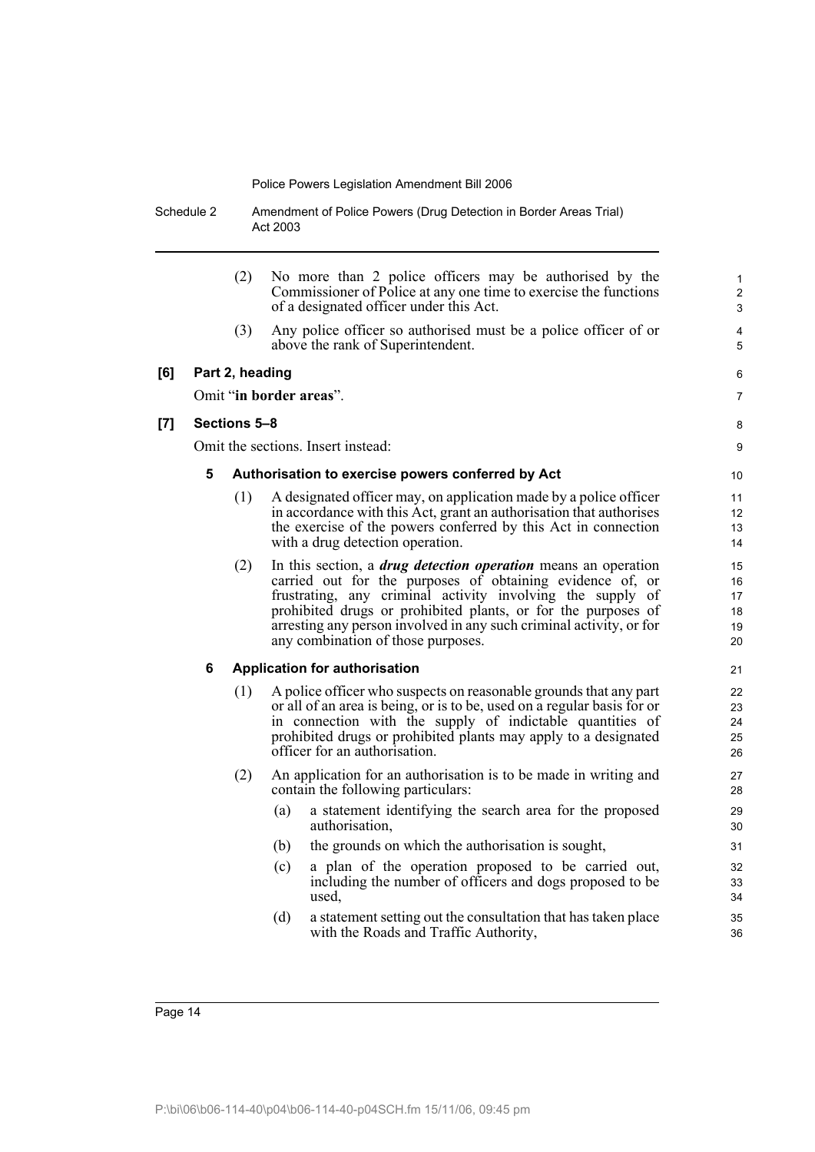Schedule 2 Amendment of Police Powers (Drug Detection in Border Areas Trial) Act 2003

|     |              | (2)             | No more than 2 police officers may be authorised by the<br>Commissioner of Police at any one time to exercise the functions<br>of a designated officer under this Act.                                                                                                                                                                                                         | 1<br>$\mathbf{2}$<br>3           |  |  |  |
|-----|--------------|-----------------|--------------------------------------------------------------------------------------------------------------------------------------------------------------------------------------------------------------------------------------------------------------------------------------------------------------------------------------------------------------------------------|----------------------------------|--|--|--|
|     |              | (3)             | Any police officer so authorised must be a police officer of or<br>above the rank of Superintendent.                                                                                                                                                                                                                                                                           | 4<br>5                           |  |  |  |
| [6] |              | Part 2, heading |                                                                                                                                                                                                                                                                                                                                                                                | 6                                |  |  |  |
|     |              |                 | Omit "in border areas".                                                                                                                                                                                                                                                                                                                                                        | $\overline{7}$                   |  |  |  |
| [7] | Sections 5-8 |                 |                                                                                                                                                                                                                                                                                                                                                                                |                                  |  |  |  |
|     |              |                 | Omit the sections. Insert instead:                                                                                                                                                                                                                                                                                                                                             | 9                                |  |  |  |
|     | 5            |                 | Authorisation to exercise powers conferred by Act                                                                                                                                                                                                                                                                                                                              | 10                               |  |  |  |
|     |              | (1)             | A designated officer may, on application made by a police officer<br>in accordance with this Act, grant an authorisation that authorises<br>the exercise of the powers conferred by this Act in connection<br>with a drug detection operation.                                                                                                                                 | 11<br>12<br>13<br>14             |  |  |  |
|     |              | (2)             | In this section, a <i>drug detection operation</i> means an operation<br>carried out for the purposes of obtaining evidence of, or<br>frustrating, any criminal activity involving the supply of<br>prohibited drugs or prohibited plants, or for the purposes of<br>arresting any person involved in any such criminal activity, or for<br>any combination of those purposes. | 15<br>16<br>17<br>18<br>19<br>20 |  |  |  |
|     | 6            |                 | <b>Application for authorisation</b>                                                                                                                                                                                                                                                                                                                                           | 21                               |  |  |  |
|     |              | (1)             | A police officer who suspects on reasonable grounds that any part<br>or all of an area is being, or is to be, used on a regular basis for or<br>in connection with the supply of indictable quantities of<br>prohibited drugs or prohibited plants may apply to a designated<br>officer for an authorisation.                                                                  | 22<br>23<br>24<br>25<br>26       |  |  |  |
|     |              | (2)             | An application for an authorisation is to be made in writing and<br>contain the following particulars:                                                                                                                                                                                                                                                                         | 27<br>28                         |  |  |  |
|     |              |                 | a statement identifying the search area for the proposed<br>(a)<br>authorisation,                                                                                                                                                                                                                                                                                              | 29<br>30                         |  |  |  |
|     |              |                 | the grounds on which the authorisation is sought,<br>(b)                                                                                                                                                                                                                                                                                                                       | 31                               |  |  |  |
|     |              |                 | (c)<br>a plan of the operation proposed to be carried out,<br>including the number of officers and dogs proposed to be<br>used,                                                                                                                                                                                                                                                | 32<br>33<br>34                   |  |  |  |
|     |              |                 | a statement setting out the consultation that has taken place<br>(d)<br>with the Roads and Traffic Authority,                                                                                                                                                                                                                                                                  | 35<br>36                         |  |  |  |
|     |              |                 |                                                                                                                                                                                                                                                                                                                                                                                |                                  |  |  |  |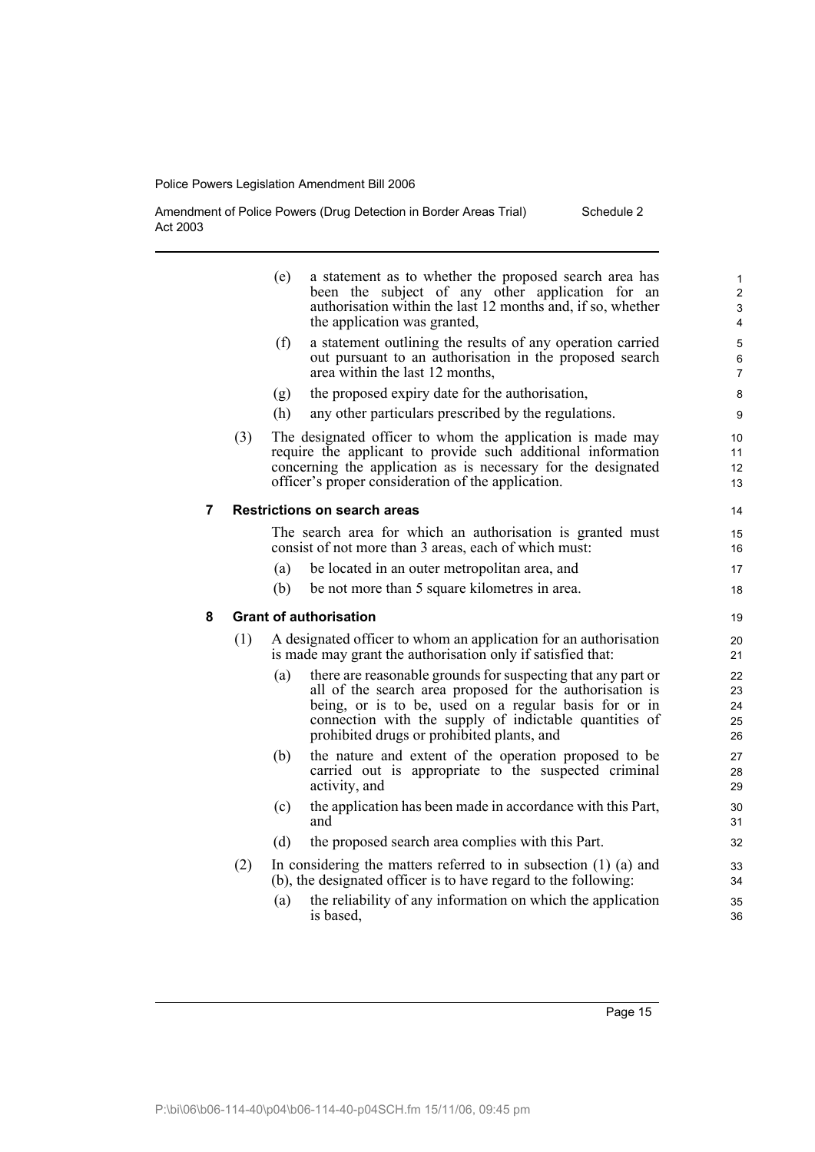Act 2003

Amendment of Police Powers (Drug Detection in Border Areas Trial)

Schedule 2

(e) a statement as to whether the proposed search area has been the subject of any other application for an authorisation within the last 12 months and, if so, whether the application was granted, (f) a statement outlining the results of any operation carried out pursuant to an authorisation in the proposed search area within the last 12 months, (g) the proposed expiry date for the authorisation, (h) any other particulars prescribed by the regulations. (3) The designated officer to whom the application is made may require the applicant to provide such additional information concerning the application as is necessary for the designated officer's proper consideration of the application. **7 Restrictions on search areas** The search area for which an authorisation is granted must consist of not more than 3 areas, each of which must: (a) be located in an outer metropolitan area, and (b) be not more than 5 square kilometres in area. **8 Grant of authorisation** (1) A designated officer to whom an application for an authorisation is made may grant the authorisation only if satisfied that: (a) there are reasonable grounds for suspecting that any part or all of the search area proposed for the authorisation is being, or is to be, used on a regular basis for or in connection with the supply of indictable quantities of prohibited drugs or prohibited plants, and (b) the nature and extent of the operation proposed to be carried out is appropriate to the suspected criminal activity, and (c) the application has been made in accordance with this Part, and (d) the proposed search area complies with this Part. (2) In considering the matters referred to in subsection (1) (a) and (b), the designated officer is to have regard to the following: (a) the reliability of any information on which the application is based, 10 11 12 13 14 15 16 17 18 19  $20$ 21 22 23 24 25 26 27 28 29 30 31 32 33 34 35 36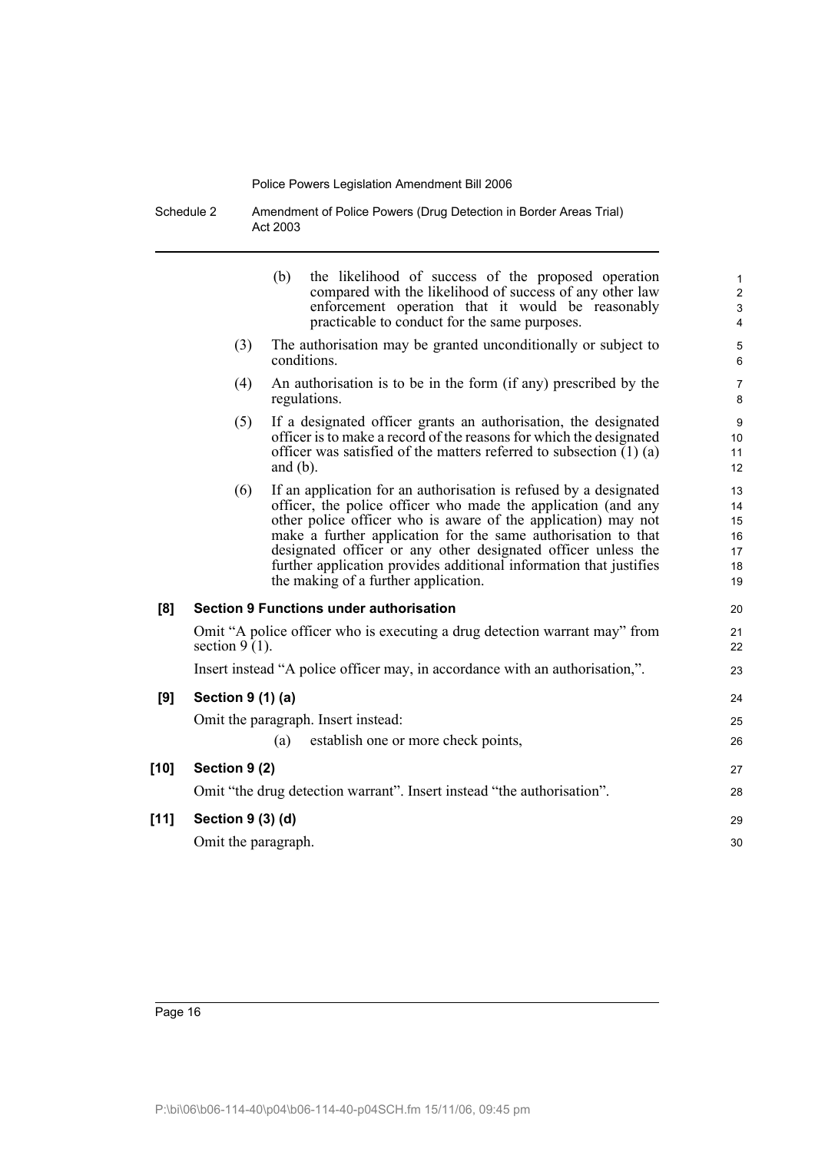Schedule 2 Amendment of Police Powers (Drug Detection in Border Areas Trial) Act 2003

|        |                     | the likelihood of success of the proposed operation<br>(b)<br>compared with the likelihood of success of any other law<br>enforcement operation that it would be reasonably<br>practicable to conduct for the same purposes.                                                                                                                                                                                                                        | 1<br>$\overline{c}$<br>3<br>$\overline{4}$ |
|--------|---------------------|-----------------------------------------------------------------------------------------------------------------------------------------------------------------------------------------------------------------------------------------------------------------------------------------------------------------------------------------------------------------------------------------------------------------------------------------------------|--------------------------------------------|
|        | (3)                 | The authorisation may be granted unconditionally or subject to<br>conditions.                                                                                                                                                                                                                                                                                                                                                                       | 5<br>6                                     |
|        | (4)                 | An authorisation is to be in the form (if any) prescribed by the<br>regulations.                                                                                                                                                                                                                                                                                                                                                                    | $\overline{7}$<br>8                        |
|        | (5)                 | If a designated officer grants an authorisation, the designated<br>officer is to make a record of the reasons for which the designated<br>officer was satisfied of the matters referred to subsection $(1)$ (a)<br>and $(b)$ .                                                                                                                                                                                                                      | 9<br>10<br>11<br>12                        |
|        | (6)                 | If an application for an authorisation is refused by a designated<br>officer, the police officer who made the application (and any<br>other police officer who is aware of the application) may not<br>make a further application for the same authorisation to that<br>designated officer or any other designated officer unless the<br>further application provides additional information that justifies<br>the making of a further application. | 13<br>14<br>15<br>16<br>17<br>18<br>19     |
| [8]    |                     | <b>Section 9 Functions under authorisation</b>                                                                                                                                                                                                                                                                                                                                                                                                      | 20                                         |
|        | section $9(1)$ .    | Omit "A police officer who is executing a drug detection warrant may" from                                                                                                                                                                                                                                                                                                                                                                          | 21<br>22                                   |
|        |                     | Insert instead "A police officer may, in accordance with an authorisation,".                                                                                                                                                                                                                                                                                                                                                                        | 23                                         |
| [9]    | Section 9 (1) (a)   |                                                                                                                                                                                                                                                                                                                                                                                                                                                     | 24                                         |
|        |                     | Omit the paragraph. Insert instead:                                                                                                                                                                                                                                                                                                                                                                                                                 | 25                                         |
|        |                     | establish one or more check points,<br>(a)                                                                                                                                                                                                                                                                                                                                                                                                          | 26                                         |
| [10]   | Section 9 (2)       |                                                                                                                                                                                                                                                                                                                                                                                                                                                     | 27                                         |
|        |                     | Omit "the drug detection warrant". Insert instead "the authorisation".                                                                                                                                                                                                                                                                                                                                                                              | 28                                         |
| $[11]$ | Section 9 (3) (d)   |                                                                                                                                                                                                                                                                                                                                                                                                                                                     | 29                                         |
|        | Omit the paragraph. |                                                                                                                                                                                                                                                                                                                                                                                                                                                     | 30                                         |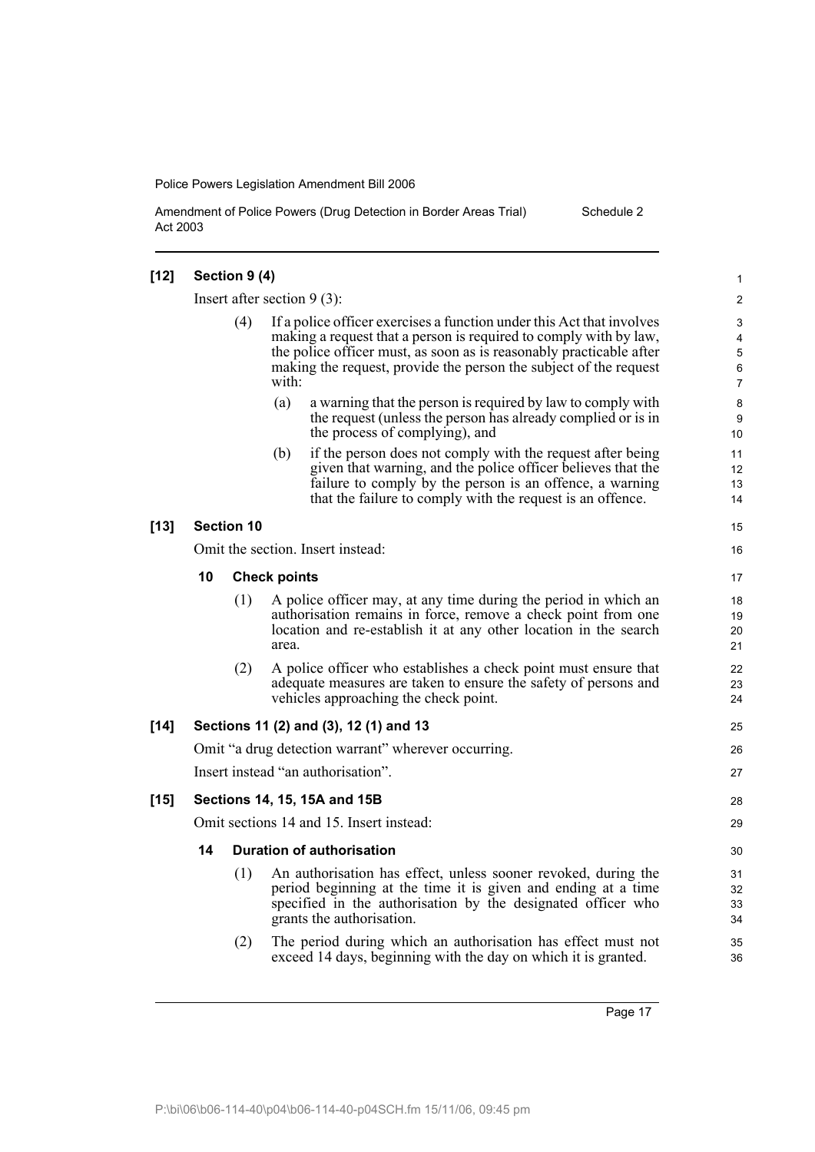Amendment of Police Powers (Drug Detection in Border Areas Trial) Act 2003 Schedule 2

| $[12]$ |                                                     | Section 9 (4) |                               |                                                                                                                                                                                                                                                                                        |  |  |
|--------|-----------------------------------------------------|---------------|-------------------------------|----------------------------------------------------------------------------------------------------------------------------------------------------------------------------------------------------------------------------------------------------------------------------------------|--|--|
|        |                                                     |               | Insert after section $9(3)$ : |                                                                                                                                                                                                                                                                                        |  |  |
|        |                                                     | (4)           | with:                         | If a police officer exercises a function under this Act that involves<br>making a request that a person is required to comply with by law,<br>the police officer must, as soon as is reasonably practicable after<br>making the request, provide the person the subject of the request |  |  |
|        |                                                     |               | (a)                           | a warning that the person is required by law to comply with<br>the request (unless the person has already complied or is in<br>the process of complying), and                                                                                                                          |  |  |
|        |                                                     |               | (b)                           | if the person does not comply with the request after being<br>given that warning, and the police officer believes that the<br>failure to comply by the person is an offence, a warning<br>that the failure to comply with the request is an offence.                                   |  |  |
| $[13]$ | <b>Section 10</b>                                   |               |                               |                                                                                                                                                                                                                                                                                        |  |  |
|        |                                                     |               |                               | Omit the section. Insert instead:                                                                                                                                                                                                                                                      |  |  |
|        | 10                                                  |               | <b>Check points</b>           |                                                                                                                                                                                                                                                                                        |  |  |
|        |                                                     | (1)           | area.                         | A police officer may, at any time during the period in which an<br>authorisation remains in force, remove a check point from one<br>location and re-establish it at any other location in the search                                                                                   |  |  |
|        |                                                     | (2)           |                               | A police officer who establishes a check point must ensure that<br>adequate measures are taken to ensure the safety of persons and<br>vehicles approaching the check point.                                                                                                            |  |  |
| $[14]$ | Sections 11 (2) and (3), 12 (1) and 13              |               |                               |                                                                                                                                                                                                                                                                                        |  |  |
|        | Omit "a drug detection warrant" wherever occurring. |               |                               |                                                                                                                                                                                                                                                                                        |  |  |
|        | Insert instead "an authorisation".                  |               |                               |                                                                                                                                                                                                                                                                                        |  |  |
| $[15]$ | Sections 14, 15, 15A and 15B                        |               |                               |                                                                                                                                                                                                                                                                                        |  |  |
|        | Omit sections 14 and 15. Insert instead:            |               |                               |                                                                                                                                                                                                                                                                                        |  |  |
|        | 14                                                  |               |                               | <b>Duration of authorisation</b>                                                                                                                                                                                                                                                       |  |  |
|        |                                                     | (1)           |                               | An authorisation has effect, unless sooner revoked, during the<br>period beginning at the time it is given and ending at a time<br>specified in the authorisation by the designated officer who<br>grants the authorisation.                                                           |  |  |
|        |                                                     | (2)           |                               | The period during which an authorisation has effect must not<br>exceed 14 days, beginning with the day on which it is granted.                                                                                                                                                         |  |  |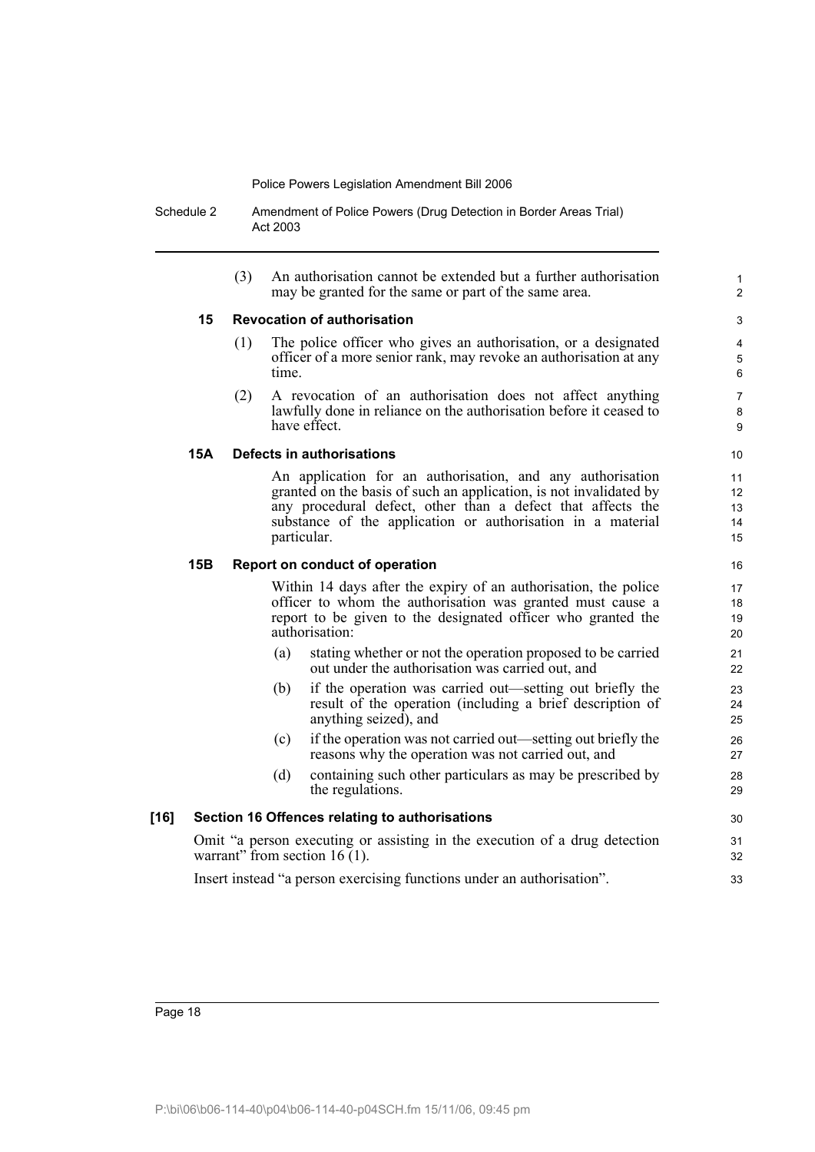Schedule 2 Amendment of Police Powers (Drug Detection in Border Areas Trial) Act 2003

> (3) An authorisation cannot be extended but a further authorisation may be granted for the same or part of the same area.

1  $\overline{2}$ 

#### **15 Revocation of authorisation**

- (1) The police officer who gives an authorisation, or a designated officer of a more senior rank, may revoke an authorisation at any time.
- (2) A revocation of an authorisation does not affect anything lawfully done in reliance on the authorisation before it ceased to have effect.

#### **15A Defects in authorisations**

An application for an authorisation, and any authorisation granted on the basis of such an application, is not invalidated by any procedural defect, other than a defect that affects the substance of the application or authorisation in a material particular.

### **15B Report on conduct of operation**

Within 14 days after the expiry of an authorisation, the police officer to whom the authorisation was granted must cause a report to be given to the designated officer who granted the authorisation:

- (a) stating whether or not the operation proposed to be carried out under the authorisation was carried out, and
- (b) if the operation was carried out—setting out briefly the result of the operation (including a brief description of anything seized), and
- (c) if the operation was not carried out—setting out briefly the reasons why the operation was not carried out, and
- (d) containing such other particulars as may be prescribed by the regulations.

#### **[16] Section 16 Offences relating to authorisations**

Omit "a person executing or assisting in the execution of a drug detection warrant" from section 16 (1).

Insert instead "a person exercising functions under an authorisation".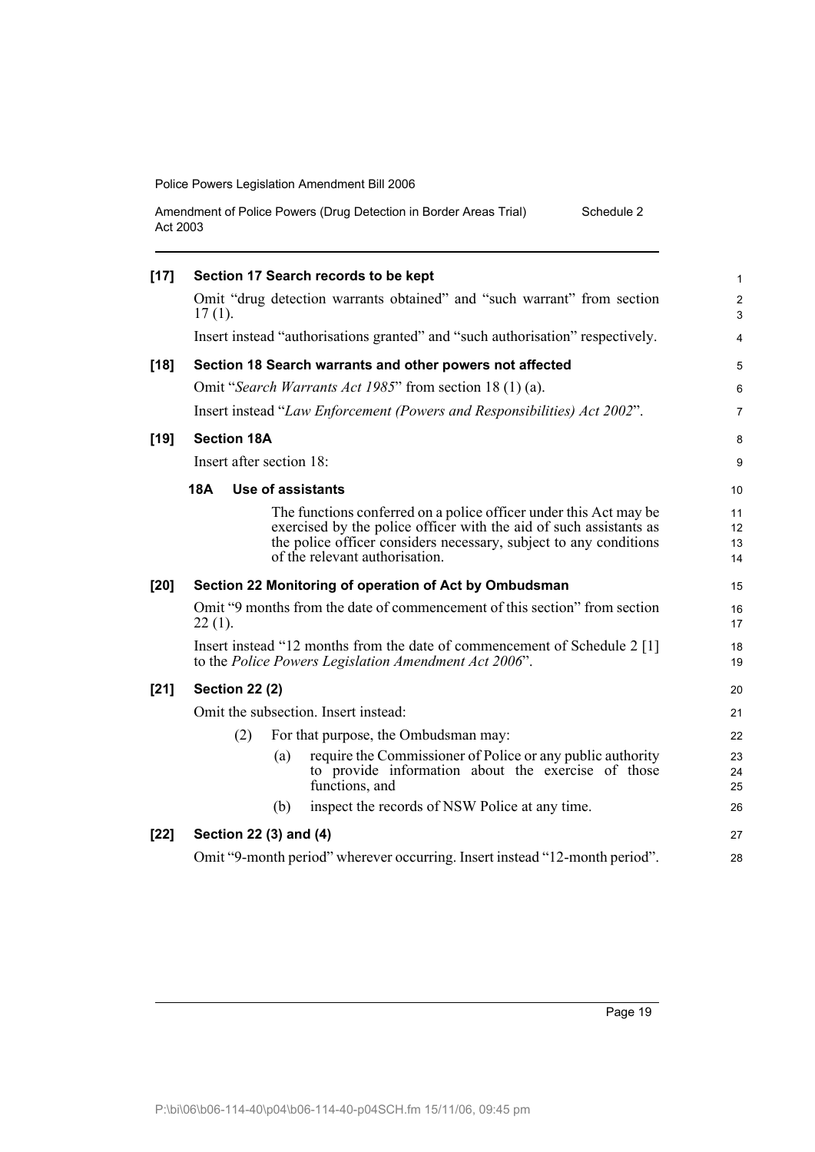| Amendment of Police Powers (Drug Detection in Border Areas Trial) | Schedule 2 |
|-------------------------------------------------------------------|------------|
| Act 2003                                                          |            |

| $[17]$ | Section 17 Search records to be kept                                                                                                                                                                                                           | $\mathbf{1}$         |
|--------|------------------------------------------------------------------------------------------------------------------------------------------------------------------------------------------------------------------------------------------------|----------------------|
|        | Omit "drug detection warrants obtained" and "such warrant" from section<br>$17(1)$ .                                                                                                                                                           | $\overline{2}$<br>3  |
|        | Insert instead "authorisations granted" and "such authorisation" respectively.                                                                                                                                                                 | 4                    |
| $[18]$ | Section 18 Search warrants and other powers not affected                                                                                                                                                                                       | 5                    |
|        | Omit "Search Warrants Act 1985" from section 18 (1) (a).                                                                                                                                                                                       | 6                    |
|        | Insert instead "Law Enforcement (Powers and Responsibilities) Act 2002".                                                                                                                                                                       | $\overline{7}$       |
| $[19]$ | <b>Section 18A</b>                                                                                                                                                                                                                             | 8                    |
|        | Insert after section 18:                                                                                                                                                                                                                       | 9                    |
|        | <b>18A</b><br>Use of assistants                                                                                                                                                                                                                | 10                   |
|        | The functions conferred on a police officer under this Act may be<br>exercised by the police officer with the aid of such assistants as<br>the police officer considers necessary, subject to any conditions<br>of the relevant authorisation. | 11<br>12<br>13<br>14 |
| $[20]$ | Section 22 Monitoring of operation of Act by Ombudsman                                                                                                                                                                                         | 15                   |
|        | Omit "9 months from the date of commencement of this section" from section<br>$22(1)$ .                                                                                                                                                        | 16<br>17             |
|        | Insert instead "12 months from the date of commencement of Schedule 2 [1]<br>to the Police Powers Legislation Amendment Act 2006".                                                                                                             | 18<br>19             |
| $[21]$ | <b>Section 22 (2)</b>                                                                                                                                                                                                                          | 20                   |
|        | Omit the subsection. Insert instead:                                                                                                                                                                                                           | 21                   |
|        | For that purpose, the Ombudsman may:<br>(2)                                                                                                                                                                                                    | 22                   |
|        | require the Commissioner of Police or any public authority<br>(a)<br>to provide information about the exercise of those<br>functions, and                                                                                                      | 23<br>24<br>25       |
|        | inspect the records of NSW Police at any time.<br>(b)                                                                                                                                                                                          | 26                   |
| $[22]$ | Section 22 (3) and (4)                                                                                                                                                                                                                         | 27                   |
|        | Omit "9-month period" wherever occurring. Insert instead "12-month period".                                                                                                                                                                    | 28                   |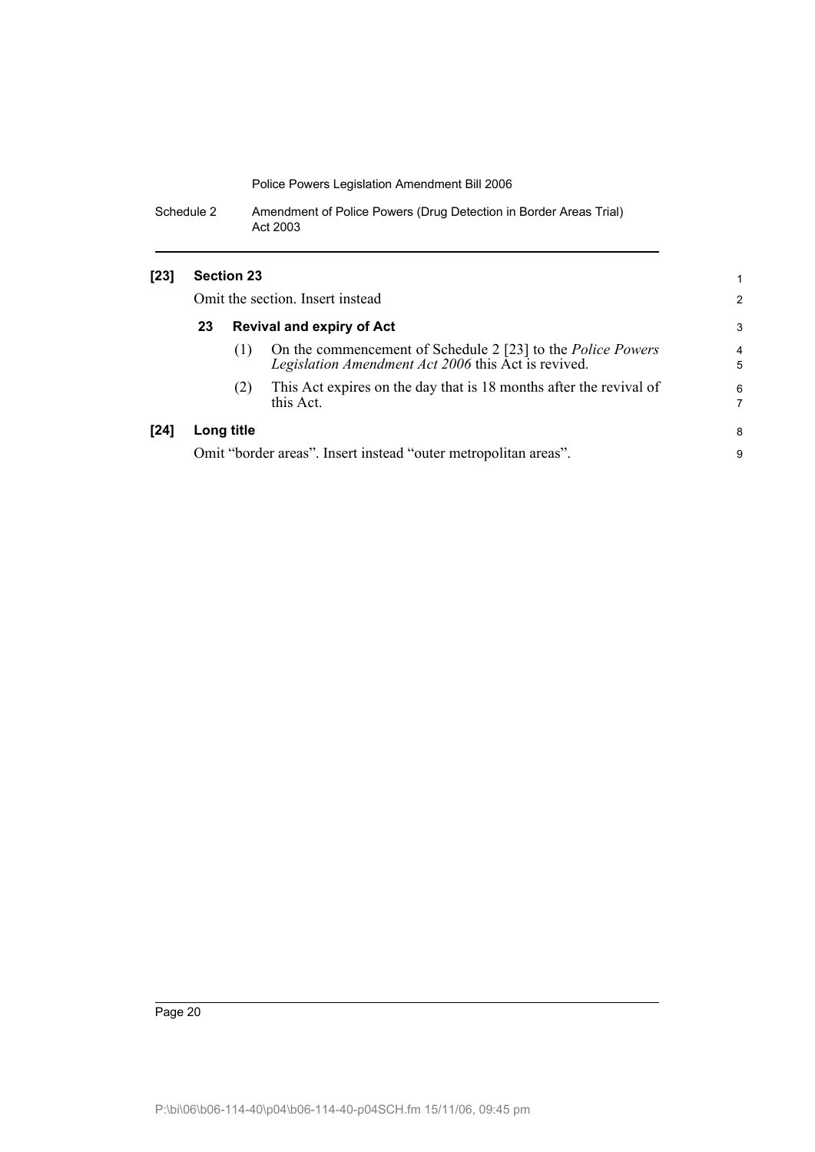Schedule 2 Amendment of Police Powers (Drug Detection in Border Areas Trial) Act 2003

## **[23] Section 23**

|      |                                                                 | Omit the section. Insert instead |                                                                                                                           |        |  |
|------|-----------------------------------------------------------------|----------------------------------|---------------------------------------------------------------------------------------------------------------------------|--------|--|
|      | 23                                                              | <b>Revival and expiry of Act</b> |                                                                                                                           |        |  |
|      |                                                                 | (1)                              | On the commencement of Schedule 2 [23] to the <i>Police Powers</i><br>Legislation Amendment Act 2006 this Act is revived. | 4<br>5 |  |
|      |                                                                 | (2)                              | This Act expires on the day that is 18 months after the revival of<br>this Act.                                           | 6<br>7 |  |
| [24] |                                                                 | Long title                       |                                                                                                                           | 8      |  |
|      | Omit "border areas". Insert instead "outer metropolitan areas". |                                  |                                                                                                                           |        |  |

1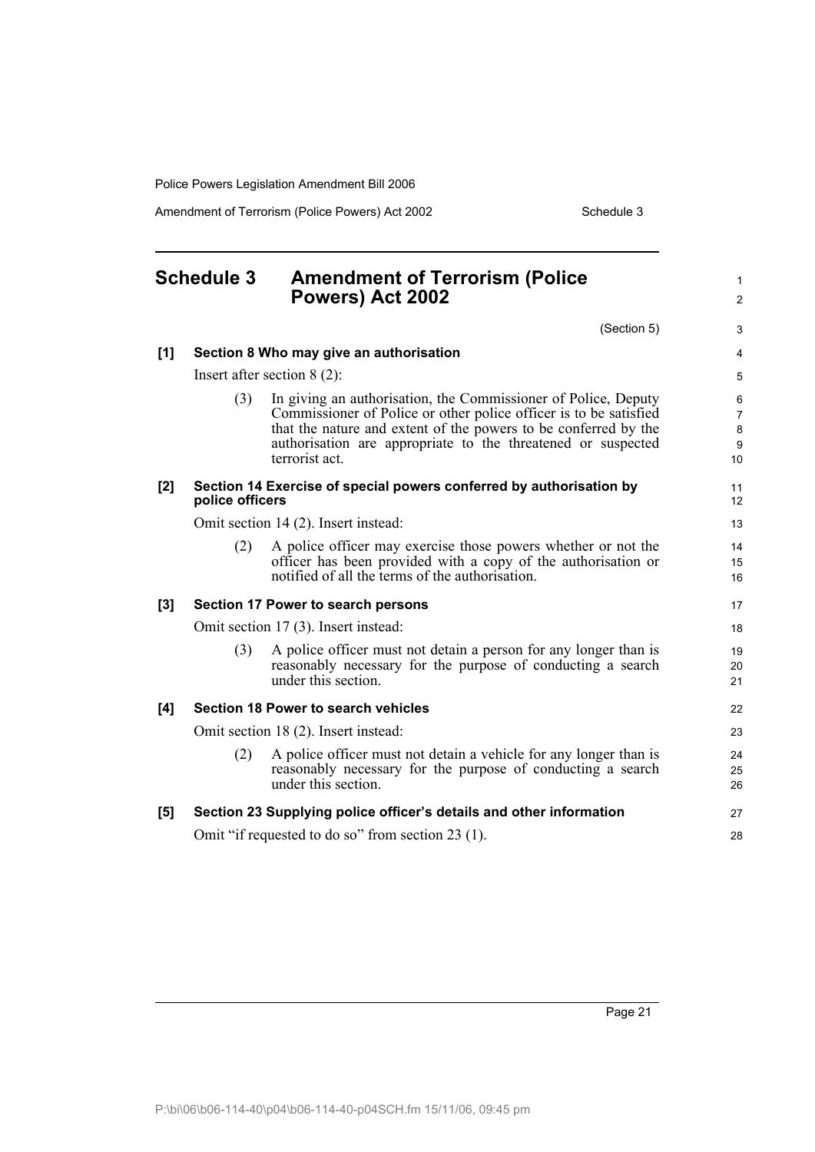Amendment of Terrorism (Police Powers) Act 2002 Schedule 3

#### <span id="page-22-0"></span>**Schedule 3 Amendment of Terrorism (Police Powers) Act 2002** (Section 5) **[1] Section 8 Who may give an authorisation** Insert after section 8 (2): (3) In giving an authorisation, the Commissioner of Police, Deputy Commissioner of Police or other police officer is to be satisfied that the nature and extent of the powers to be conferred by the authorisation are appropriate to the threatened or suspected terrorist act. **[2] Section 14 Exercise of special powers conferred by authorisation by police officers** Omit section 14 (2). Insert instead: (2) A police officer may exercise those powers whether or not the officer has been provided with a copy of the authorisation or notified of all the terms of the authorisation. **[3] Section 17 Power to search persons** Omit section 17 (3). Insert instead: (3) A police officer must not detain a person for any longer than is reasonably necessary for the purpose of conducting a search under this section. **[4] Section 18 Power to search vehicles** Omit section 18 (2). Insert instead: (2) A police officer must not detain a vehicle for any longer than is reasonably necessary for the purpose of conducting a search under this section. **[5] Section 23 Supplying police officer's details and other information** Omit "if requested to do so" from section 23 (1). 1  $\mathfrak{p}$ 3 4 5 6 7 8 9 10 11 12 13 14 15 16 17 18 19  $20$ 21 22  $23$  $24$ 25 26 27 28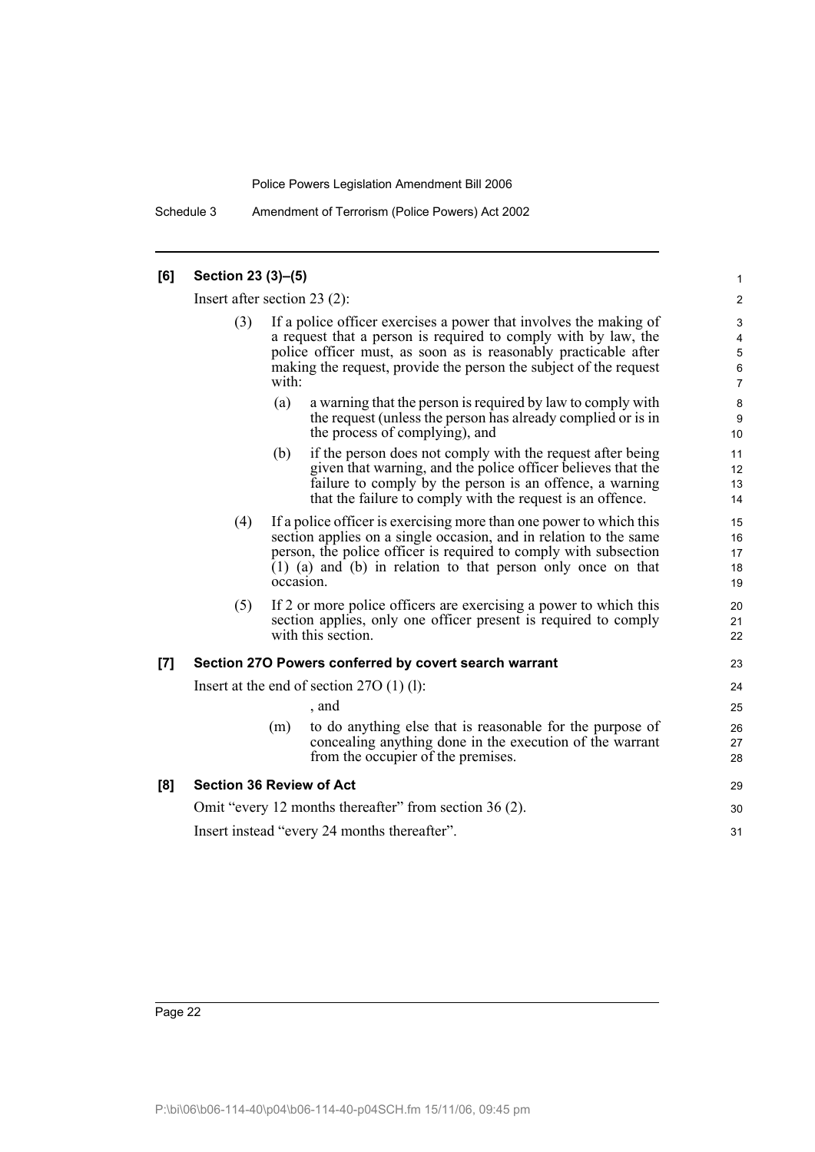Schedule 3 Amendment of Terrorism (Police Powers) Act 2002

#### **[6] Section 23 (3)–(5)** Insert after section 23 (2): (3) If a police officer exercises a power that involves the making of a request that a person is required to comply with by law, the police officer must, as soon as is reasonably practicable after making the request, provide the person the subject of the request with: (a) a warning that the person is required by law to comply with the request (unless the person has already complied or is in the process of complying), and (b) if the person does not comply with the request after being given that warning, and the police officer believes that the failure to comply by the person is an offence, a warning that the failure to comply with the request is an offence. (4) If a police officer is exercising more than one power to which this section applies on a single occasion, and in relation to the same person, the police officer is required to comply with subsection (1) (a) and (b) in relation to that person only once on that occasion. (5) If 2 or more police officers are exercising a power to which this section applies, only one officer present is required to comply with this section. **[7] Section 27O Powers conferred by covert search warrant** Insert at the end of section 27O (1) (l): , and (m) to do anything else that is reasonable for the purpose of concealing anything done in the execution of the warrant from the occupier of the premises. **[8] Section 36 Review of Act** Omit "every 12 months thereafter" from section 36 (2). Insert instead "every 24 months thereafter". 1  $\mathfrak{p}$ 3 4 5 6 7 8 9 10 11 12 13 14 15 16 17 18 19 20 21 22 23 24 25 26 27 28 29 30 31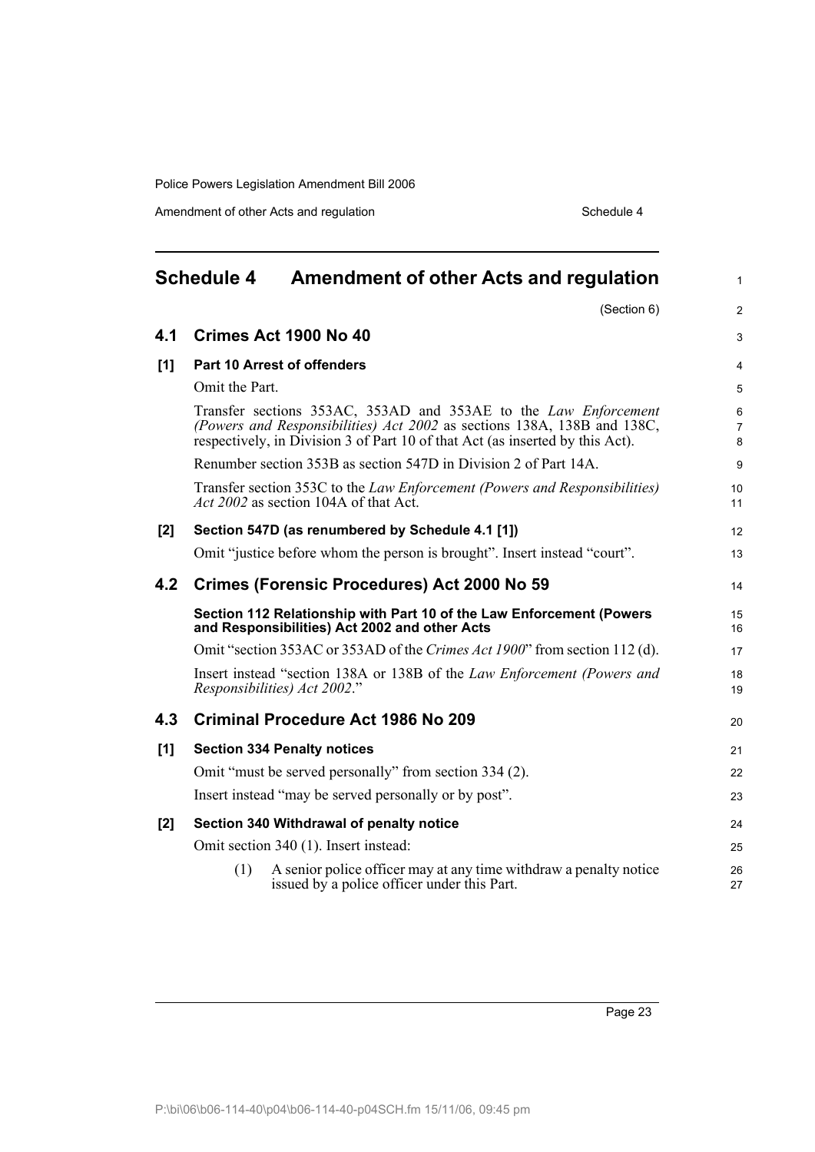Amendment of other Acts and regulation Schedule 4

<span id="page-24-0"></span>

|       | <b>Schedule 4</b><br><b>Amendment of other Acts and regulation</b>                                                                                                                                                          | 1              |
|-------|-----------------------------------------------------------------------------------------------------------------------------------------------------------------------------------------------------------------------------|----------------|
|       | (Section 6)                                                                                                                                                                                                                 | $\overline{c}$ |
| 4.1   | Crimes Act 1900 No 40                                                                                                                                                                                                       | 3              |
| [1]   | <b>Part 10 Arrest of offenders</b>                                                                                                                                                                                          | 4              |
|       | Omit the Part.                                                                                                                                                                                                              | 5              |
|       | Transfer sections 353AC, 353AD and 353AE to the Law Enforcement<br>(Powers and Responsibilities) Act 2002 as sections 138A, 138B and 138C,<br>respectively, in Division 3 of Part 10 of that Act (as inserted by this Act). | 6<br>7<br>8    |
|       | Renumber section 353B as section 547D in Division 2 of Part 14A.                                                                                                                                                            | 9              |
|       | Transfer section 353C to the Law Enforcement (Powers and Responsibilities)<br><i>Act 2002</i> as section 104A of that Act.                                                                                                  | 10<br>11       |
| $[2]$ | Section 547D (as renumbered by Schedule 4.1 [1])                                                                                                                                                                            | 12             |
|       | Omit "justice before whom the person is brought". Insert instead "court".                                                                                                                                                   | 13             |
| 4.2   | Crimes (Forensic Procedures) Act 2000 No 59                                                                                                                                                                                 | 14             |
|       | Section 112 Relationship with Part 10 of the Law Enforcement (Powers<br>and Responsibilities) Act 2002 and other Acts                                                                                                       | 15<br>16       |
|       | Omit "section 353AC or 353AD of the <i>Crimes Act 1900</i> " from section 112 (d).                                                                                                                                          | 17             |
|       | Insert instead "section 138A or 138B of the Law Enforcement (Powers and<br>Responsibilities) Act 2002."                                                                                                                     | 18<br>19       |
| 4.3   | <b>Criminal Procedure Act 1986 No 209</b>                                                                                                                                                                                   | 20             |
| [1]   | <b>Section 334 Penalty notices</b>                                                                                                                                                                                          | 21             |
|       | Omit "must be served personally" from section 334 (2).                                                                                                                                                                      | 22             |
|       | Insert instead "may be served personally or by post".                                                                                                                                                                       | 23             |
| [2]   | Section 340 Withdrawal of penalty notice                                                                                                                                                                                    | 24             |
|       | Omit section 340 (1). Insert instead:                                                                                                                                                                                       | 25             |
|       | A senior police officer may at any time withdraw a penalty notice<br>(1)<br>issued by a police officer under this Part.                                                                                                     | 26<br>27       |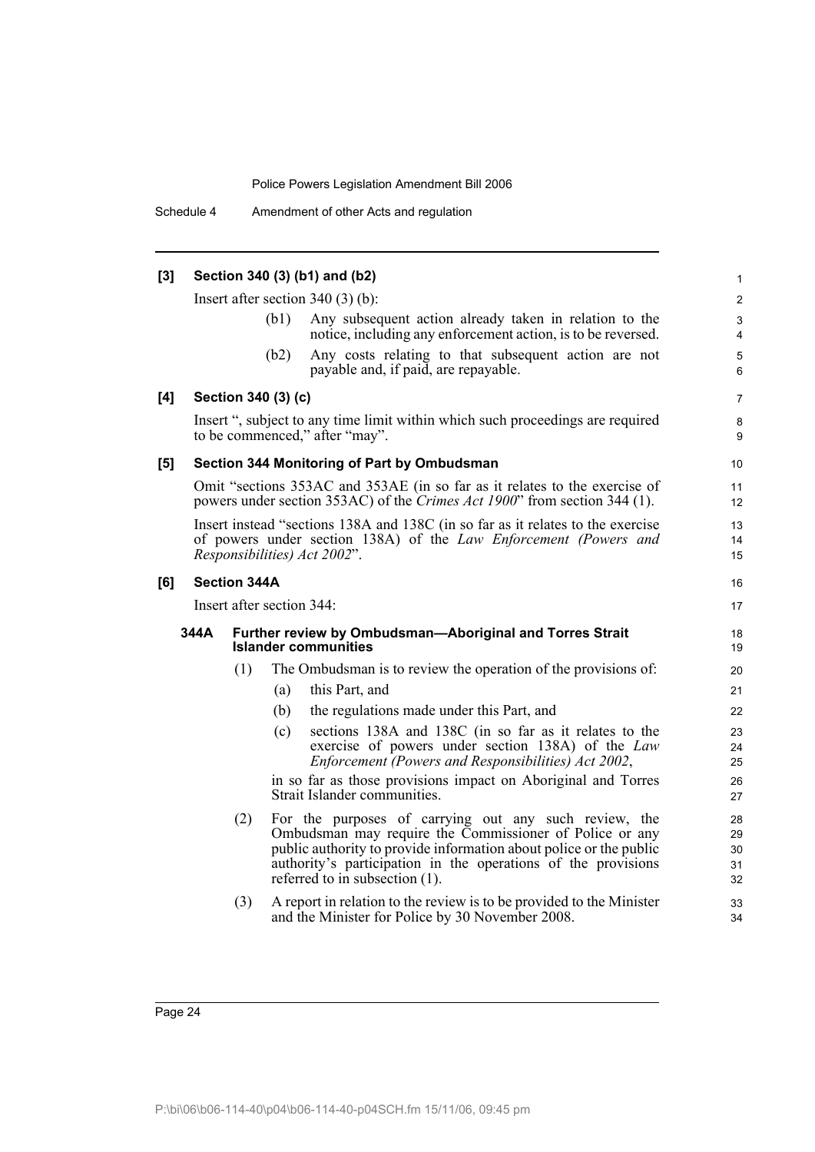Schedule 4 Amendment of other Acts and regulation

#### **[3] Section 340 (3) (b1) and (b2)** Insert after section 340 (3) (b): (b1) Any subsequent action already taken in relation to the notice, including any enforcement action, is to be reversed. (b2) Any costs relating to that subsequent action are not payable and, if paid, are repayable. **[4] Section 340 (3) (c)** Insert ", subject to any time limit within which such proceedings are required to be commenced," after "may". **[5] Section 344 Monitoring of Part by Ombudsman** Omit "sections 353AC and 353AE (in so far as it relates to the exercise of powers under section 353AC) of the *Crimes Act 1900*" from section 344 (1). Insert instead "sections 138A and 138C (in so far as it relates to the exercise of powers under section 138A) of the *Law Enforcement (Powers and Responsibilities) Act 2002*". **[6] Section 344A** Insert after section 344: **344A Further review by Ombudsman—Aboriginal and Torres Strait Islander communities** (1) The Ombudsman is to review the operation of the provisions of: (a) this Part, and (b) the regulations made under this Part, and (c) sections 138A and 138C (in so far as it relates to the exercise of powers under section 138A) of the *Law Enforcement (Powers and Responsibilities) Act 2002*, in so far as those provisions impact on Aboriginal and Torres Strait Islander communities. (2) For the purposes of carrying out any such review, the Ombudsman may require the Commissioner of Police or any public authority to provide information about police or the public authority's participation in the operations of the provisions referred to in subsection (1). (3) A report in relation to the review is to be provided to the Minister and the Minister for Police by 30 November 2008. 1  $\mathfrak{p}$ 3 4 5 6 7 8 9 10 11 12 13 14 15 16 17 18 19  $20$ 21 22  $23$  $24$ 25 26 27 28 29 30 31 32 33 34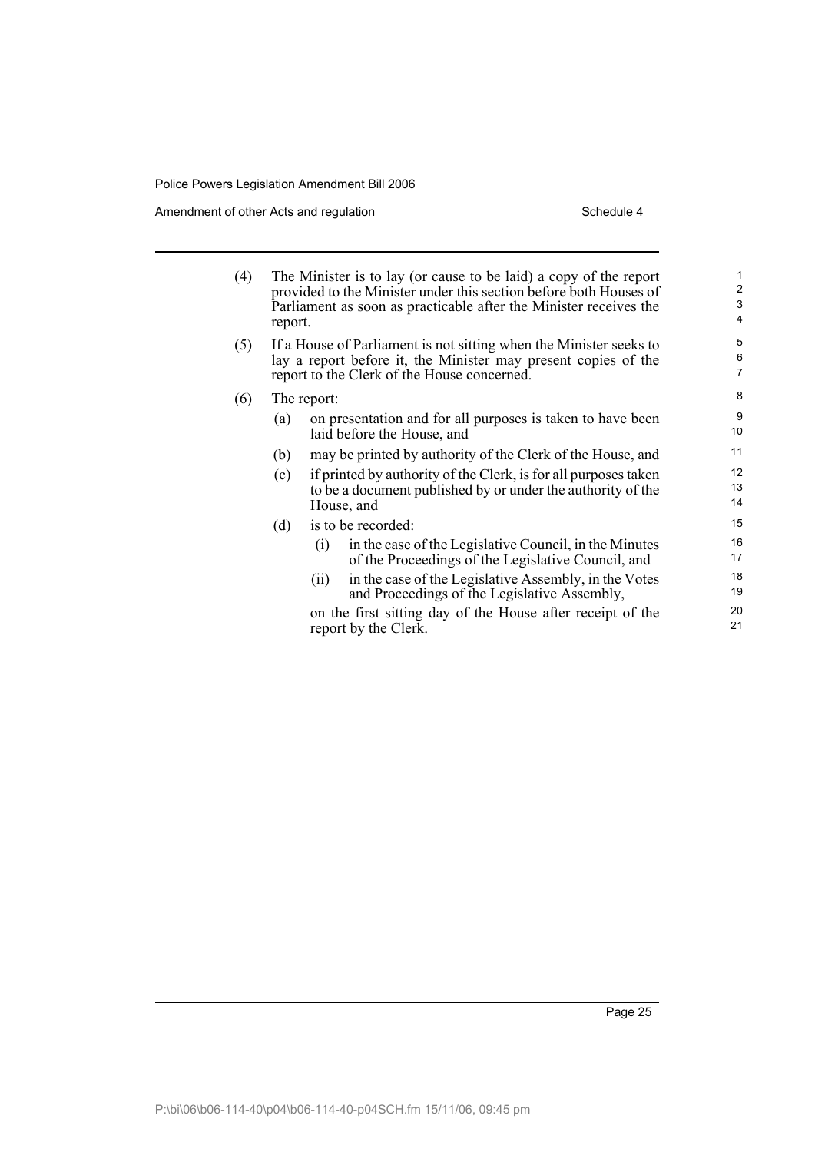Amendment of other Acts and regulation Schedule 4

| (4) | report. | The Minister is to lay (or cause to be laid) a copy of the report<br>provided to the Minister under this section before both Houses of<br>Parliament as soon as practicable after the Minister receives the | $\mathbf{1}$<br>$\overline{2}$<br>3<br>4 |
|-----|---------|-------------------------------------------------------------------------------------------------------------------------------------------------------------------------------------------------------------|------------------------------------------|
| (5) |         | If a House of Parliament is not sitting when the Minister seeks to<br>lay a report before it, the Minister may present copies of the<br>report to the Clerk of the House concerned.                         | 5<br>6<br>$\overline{7}$                 |
| (6) |         | The report:                                                                                                                                                                                                 | 8                                        |
|     | (a)     | on presentation and for all purposes is taken to have been<br>laid before the House, and                                                                                                                    | 9<br>10                                  |
|     | (b)     | may be printed by authority of the Clerk of the House, and                                                                                                                                                  | 11                                       |
|     | (c)     | if printed by authority of the Clerk, is for all purposes taken<br>to be a document published by or under the authority of the<br>House, and                                                                | 12<br>13<br>14                           |
|     | (d)     | is to be recorded:                                                                                                                                                                                          | 15                                       |
|     |         | in the case of the Legislative Council, in the Minutes<br>(i)<br>of the Proceedings of the Legislative Council, and                                                                                         | 16<br>17                                 |
|     |         | in the case of the Legislative Assembly, in the Votes<br>(11)<br>and Proceedings of the Legislative Assembly,                                                                                               | 18<br>19                                 |
|     |         | on the first sitting day of the House after receipt of the<br>report by the Clerk.                                                                                                                          | 20<br>21                                 |
|     |         |                                                                                                                                                                                                             |                                          |